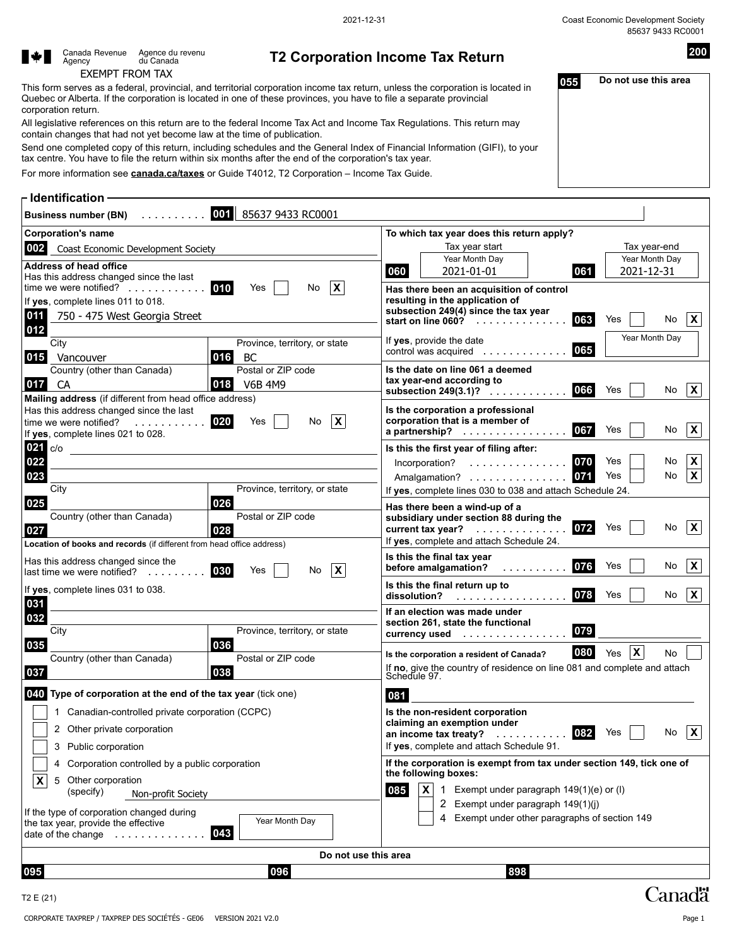**055 Do not use this area**



## **<sup>200</sup>** é **T2 Corporation Income Tax Return**

This form serves as a federal, provincial, and territorial corporation income tax return, unless the corporation is located in Quebec or Alberta. If the corporation is located in one of these provinces, you have to file a separate provincial corporation return.

All legislative references on this return are to the federal Income Tax Act and Income Tax Regulations. This return may contain changes that had not yet become law at the time of publication.

Send one completed copy of this return, including schedules and the General Index of Financial Information (GIFI), to your tax centre. You have to file the return within six months after the end of the corporation's tax year.

For more information see **canada.ca/taxes** or Guide T4012, T2 Corporation – Income Tax Guide.

| <b>⊢</b> Identification                                                                                                                                                                                                                                                                                |                                                                                                                                                                                                                                                                            |
|--------------------------------------------------------------------------------------------------------------------------------------------------------------------------------------------------------------------------------------------------------------------------------------------------------|----------------------------------------------------------------------------------------------------------------------------------------------------------------------------------------------------------------------------------------------------------------------------|
| $\overline{001}$<br>85637 9433 RC0001<br><b>Business number (BN)</b><br>$\sim$ 100 km and 100 km and 100 km and 100 km and 100 km and 100 km and 100 km and 100 km and 100 km and 100 km and 100 km and 100 km and 100 km and 100 km and 100 km and 100 km and 100 km and 100 km and 100 km and 100 km |                                                                                                                                                                                                                                                                            |
| <b>Corporation's name</b><br>002<br>Coast Economic Development Society<br><b>Address of head office</b>                                                                                                                                                                                                | To which tax year does this return apply?<br>Tax year start<br>Tax year-end<br>Year Month Day<br>Year Month Day<br>061<br>060<br>2021-01-01<br>2021-12-31                                                                                                                  |
| Has this address changed since the last<br>$\mathbf{x}$<br>time we were notified?<br>010<br>Yes<br>No<br>If yes, complete lines 011 to 018.<br>750 - 475 West Georgia Street<br>011<br>012<br>City<br>Province, territory, or state<br>015<br>016<br><b>BC</b><br>Vancouver                            | Has there been an acquisition of control<br>resulting in the application of<br>subsection 249(4) since the tax year<br>$\mathbf{x}$<br>063<br>Yes<br>No<br>start on line 060?<br>Year Month Day<br>If yes, provide the date<br>065<br>control was acquired                 |
| Postal or ZIP code<br>Country (other than Canada)<br>017<br>CA<br>018<br><b>V6B 4M9</b><br>Mailing address (if different from head office address)<br>Has this address changed since the last<br>020<br>Yes<br>$\mathbf{x}$<br>No<br>time we were notified?                                            | Is the date on line 061 a deemed<br>tax year-end according to<br>066<br>$\mathbf{x}$<br>Yes<br>No<br>subsection $249(3.1)$ ?<br>Is the corporation a professional<br>corporation that is a member of<br>067<br>Yes                                                         |
| If yes, complete lines 021 to 028.<br>021<br>c/o<br>022<br>023<br>City<br>Province, territory, or state                                                                                                                                                                                                | $\mathsf{X}$<br>No<br>a partnership?<br>Is this the first year of filing after:<br>$\mathsf{X}$<br>070<br>Yes<br>No.<br>Incorporation?<br>$\mathsf{X}$<br>071<br>Yes<br>No<br>Amalgamation?<br>If yes, complete lines 030 to 038 and attach Schedule 24.                   |
| 025<br>026<br>Country (other than Canada)<br>Postal or ZIP code<br>027<br>028<br>Location of books and records (if different from head office address)<br>Has this address changed since the                                                                                                           | Has there been a wind-up of a<br>subsidiary under section 88 during the<br>$\mathsf{X}$<br>072<br>Yes<br>No<br>current tax year? $\ldots$<br>If yes, complete and attach Schedule 24.<br>Is this the final tax year                                                        |
| 030<br>$\mathbf{x}$<br>No<br>Yes<br>last time we were notified? $\ldots \ldots$<br>If yes, complete lines 031 to 038.<br>031<br>032                                                                                                                                                                    | 076<br>$\pmb{\mathsf{X}}$<br>Yes<br>No<br>before amalgamation?<br>$\alpha$ . The second contract $\alpha$<br>Is this the final return up to<br>$\mathsf{X}$<br>078<br>Yes<br>No<br>dissolution?<br>.<br>If an election was made under<br>section 261, state the functional |
| City<br>Province, territory, or state<br>035<br>036<br>Postal or ZIP code<br>Country (other than Canada)<br>038<br>037<br>040<br>Type of corporation at the end of the tax year (tick one)                                                                                                             | 079<br>currency used<br>$\vert x \vert$<br>080<br>Yes<br>No<br>Is the corporation a resident of Canada?<br>If no, give the country of residence on line 081 and complete and attach<br>Schedule 97.                                                                        |
| 1 Canadian-controlled private corporation (CCPC)<br>2 Other private corporation<br>3 Public corporation                                                                                                                                                                                                | 081<br>Is the non-resident corporation<br>claiming an exemption under<br>082<br>Yes<br>No<br>$\mathsf{X}$<br>an income tax treaty?<br>$\sim$ 100 km s $\sim$ 100 km s $^{-1}$<br>If yes, complete and attach Schedule 91.                                                  |
| 4 Corporation controlled by a public corporation<br>Other corporation<br>$\boldsymbol{\mathsf{X}}$<br>5<br>(specify)<br>Non-profit Society<br>If the type of corporation changed during<br>Year Month Day<br>the tax year, provide the effective<br>043<br>date of the change<br>.                     | If the corporation is exempt from tax under section 149, tick one of<br>the following boxes:<br>085<br>X<br>Exempt under paragraph 149(1)(e) or (I)<br>1<br>2 Exempt under paragraph 149(1)(i)<br>Exempt under other paragraphs of section 149<br>4                        |
|                                                                                                                                                                                                                                                                                                        | Do not use this area                                                                                                                                                                                                                                                       |
| 096<br>095                                                                                                                                                                                                                                                                                             | 898                                                                                                                                                                                                                                                                        |

Canadä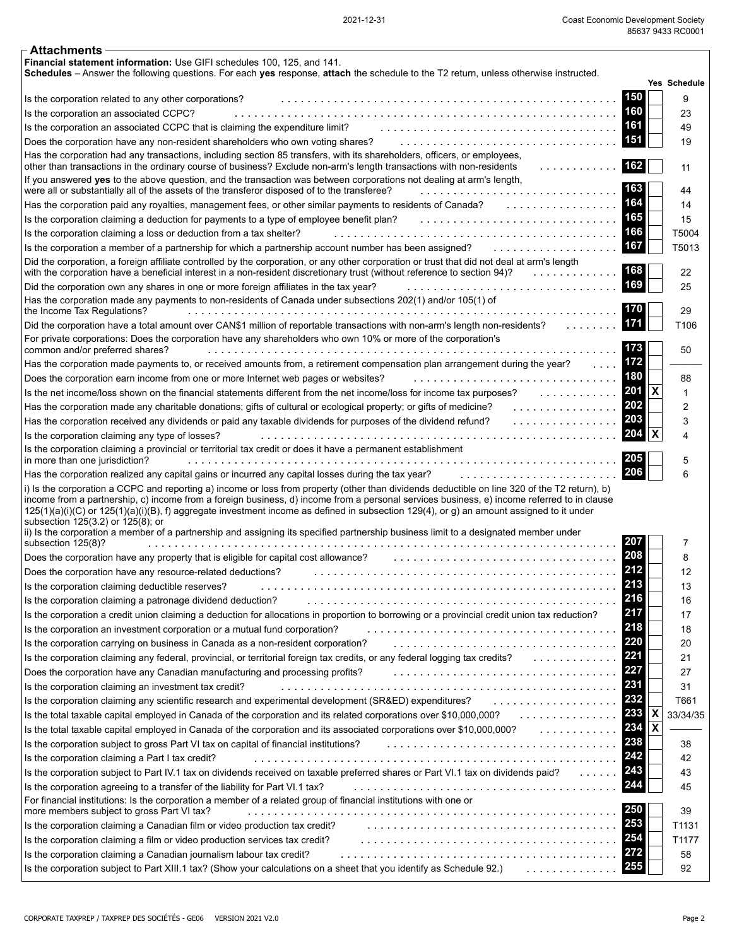| Schedules - Answer the following questions. For each yes response, attach the schedule to the T2 return, unless otherwise instructed.                                                                                                                                                                                                                                                                                                                                                     |                                  | Yes Schedule   |
|-------------------------------------------------------------------------------------------------------------------------------------------------------------------------------------------------------------------------------------------------------------------------------------------------------------------------------------------------------------------------------------------------------------------------------------------------------------------------------------------|----------------------------------|----------------|
| Is the corporation related to any other corporations?                                                                                                                                                                                                                                                                                                                                                                                                                                     | 150                              | 9              |
| Is the corporation an associated CCPC?                                                                                                                                                                                                                                                                                                                                                                                                                                                    | 160                              | 23             |
| Is the corporation an associated CCPC that is claiming the expenditure limit?                                                                                                                                                                                                                                                                                                                                                                                                             | 161                              | 49             |
| Does the corporation have any non-resident shareholders who own voting shares?                                                                                                                                                                                                                                                                                                                                                                                                            | 151                              | 19             |
| Has the corporation had any transactions, including section 85 transfers, with its shareholders, officers, or employees,                                                                                                                                                                                                                                                                                                                                                                  |                                  |                |
| other than transactions in the ordinary course of business? Exclude non-arm's length transactions with non-residents<br>.                                                                                                                                                                                                                                                                                                                                                                 | 162                              | 11             |
| If you answered yes to the above question, and the transaction was between corporations not dealing at arm's length,<br>were all or substantially all of the assets of the transferor disposed of to the transferee?                                                                                                                                                                                                                                                                      | 163                              | 44             |
| Has the corporation paid any royalties, management fees, or other similar payments to residents of Canada?<br>.                                                                                                                                                                                                                                                                                                                                                                           | 164                              | 14             |
| Is the corporation claiming a deduction for payments to a type of employee benefit plan?                                                                                                                                                                                                                                                                                                                                                                                                  | 165                              | 15             |
| Is the corporation claiming a loss or deduction from a tax shelter?                                                                                                                                                                                                                                                                                                                                                                                                                       | 166                              | T5004          |
| Is the corporation a member of a partnership for which a partnership account number has been assigned?                                                                                                                                                                                                                                                                                                                                                                                    | 167                              | T5013          |
| Did the corporation, a foreign affiliate controlled by the corporation, or any other corporation or trust that did not deal at arm's length<br>with the corporation have a beneficial interest in a non-resident discretionary trust (without reference to section 94)?<br>.                                                                                                                                                                                                              | 168                              | 22             |
| Did the corporation own any shares in one or more foreign affiliates in the tax year?                                                                                                                                                                                                                                                                                                                                                                                                     | 169                              | 25             |
| Has the corporation made any payments to non-residents of Canada under subsections 202(1) and/or 105(1) of<br>the Income Tax Regulations?                                                                                                                                                                                                                                                                                                                                                 | 170                              | 29             |
| Did the corporation have a total amount over CAN\$1 million of reportable transactions with non-arm's length non-residents?                                                                                                                                                                                                                                                                                                                                                               | 171                              | T106           |
| For private corporations: Does the corporation have any shareholders who own 10% or more of the corporation's                                                                                                                                                                                                                                                                                                                                                                             |                                  |                |
| common and/or preferred shares?                                                                                                                                                                                                                                                                                                                                                                                                                                                           | 173                              | 50             |
| Has the corporation made payments to, or received amounts from, a retirement compensation plan arrangement during the year?<br>$\ldots$ .                                                                                                                                                                                                                                                                                                                                                 | 172                              |                |
| Does the corporation earn income from one or more Internet web pages or websites?                                                                                                                                                                                                                                                                                                                                                                                                         | 180                              | 88             |
| Is the net income/loss shown on the financial statements different from the net income/loss for income tax purposes?<br>.                                                                                                                                                                                                                                                                                                                                                                 | $\pmb{\mathsf{X}}$<br>201        | 1              |
| Has the corporation made any charitable donations; gifts of cultural or ecological property; or gifts of medicine?<br>.                                                                                                                                                                                                                                                                                                                                                                   | 202                              | $\overline{2}$ |
| Has the corporation received any dividends or paid any taxable dividends for purposes of the dividend refund?<br>.                                                                                                                                                                                                                                                                                                                                                                        | 203                              | 3              |
| Is the corporation claiming any type of losses?                                                                                                                                                                                                                                                                                                                                                                                                                                           | $\boldsymbol{\mathsf{X}}$<br>204 | 4              |
| Is the corporation claiming a provincial or territorial tax credit or does it have a permanent establishment<br>in more than one jurisdiction?                                                                                                                                                                                                                                                                                                                                            | 205                              | 5              |
| Has the corporation realized any capital gains or incurred any capital losses during the tax year?                                                                                                                                                                                                                                                                                                                                                                                        | 206                              | 6              |
| i) Is the corporation a CCPC and reporting a) income or loss from property (other than dividends deductible on line 320 of the T2 return), b)                                                                                                                                                                                                                                                                                                                                             |                                  |                |
| income from a partnership, c) income from a foreign business, d) income from a personal services business, e) income referred to in clause<br>125(1)(a)(i)(C) or 125(1)(a)(i)(B), f) aggregate investment income as defined in subsection 129(4), or g) an amount assigned to it under<br>subsection 125(3.2) or 125(8); or<br>ii) Is the corporation a member of a partnership and assigning its specified partnership business limit to a designated member under<br>subsection 125(8)? | 207                              | 7              |
| Does the corporation have any property that is eligible for capital cost allowance?                                                                                                                                                                                                                                                                                                                                                                                                       | 208                              | 8              |
| Does the corporation have any resource-related deductions?                                                                                                                                                                                                                                                                                                                                                                                                                                | 212                              | 12             |
| Is the corporation claiming deductible reserves?                                                                                                                                                                                                                                                                                                                                                                                                                                          | 213                              | 13             |
| Is the corporation claiming a patronage dividend deduction?                                                                                                                                                                                                                                                                                                                                                                                                                               | 216                              | 16             |
| Is the corporation a credit union claiming a deduction for allocations in proportion to borrowing or a provincial credit union tax reduction?                                                                                                                                                                                                                                                                                                                                             | 217                              | 17             |
| Is the corporation an investment corporation or a mutual fund corporation?                                                                                                                                                                                                                                                                                                                                                                                                                | 218                              | 18             |
| Is the corporation carrying on business in Canada as a non-resident corporation?                                                                                                                                                                                                                                                                                                                                                                                                          | 220                              | 20             |
|                                                                                                                                                                                                                                                                                                                                                                                                                                                                                           | 221                              | 21             |
| Does the corporation have any Canadian manufacturing and processing profits?                                                                                                                                                                                                                                                                                                                                                                                                              | 227                              | 27             |
| Is the corporation claiming an investment tax credit?                                                                                                                                                                                                                                                                                                                                                                                                                                     | <b>231</b>                       | 31             |
|                                                                                                                                                                                                                                                                                                                                                                                                                                                                                           | 232                              | T661           |
| Is the total taxable capital employed in Canada of the corporation and its related corporations over \$10,000,000? 233                                                                                                                                                                                                                                                                                                                                                                    | X                                | 33/34/35       |
| Is the total taxable capital employed in Canada of the corporation and its associated corporations over \$10,000,000?                                                                                                                                                                                                                                                                                                                                                                     | $\overline{\mathbf{X}}$<br>234   |                |
| Is the corporation subject to gross Part VI tax on capital of financial institutions?                                                                                                                                                                                                                                                                                                                                                                                                     | 238                              | 38             |
| Is the corporation claiming a Part I tax credit?                                                                                                                                                                                                                                                                                                                                                                                                                                          | 242                              | 42             |
| Is the corporation subject to Part IV.1 tax on dividends received on taxable preferred shares or Part VI.1 tax on dividends paid?                                                                                                                                                                                                                                                                                                                                                         | 243                              | 43             |
| Is the corporation agreeing to a transfer of the liability for Part VI.1 tax?                                                                                                                                                                                                                                                                                                                                                                                                             | 244                              | 45             |
| For financial institutions: Is the corporation a member of a related group of financial institutions with one or<br>more members subject to gross Part VI tax?                                                                                                                                                                                                                                                                                                                            | l 250                            | 39             |
| Is the corporation claiming a Canadian film or video production tax credit?                                                                                                                                                                                                                                                                                                                                                                                                               | 253                              | T1131          |
| Is the corporation claiming a film or video production services tax credit?                                                                                                                                                                                                                                                                                                                                                                                                               | 254                              | T1177          |
| Is the corporation claiming a Canadian journalism labour tax credit?                                                                                                                                                                                                                                                                                                                                                                                                                      | 272<br>255                       | 58             |

**Attachments**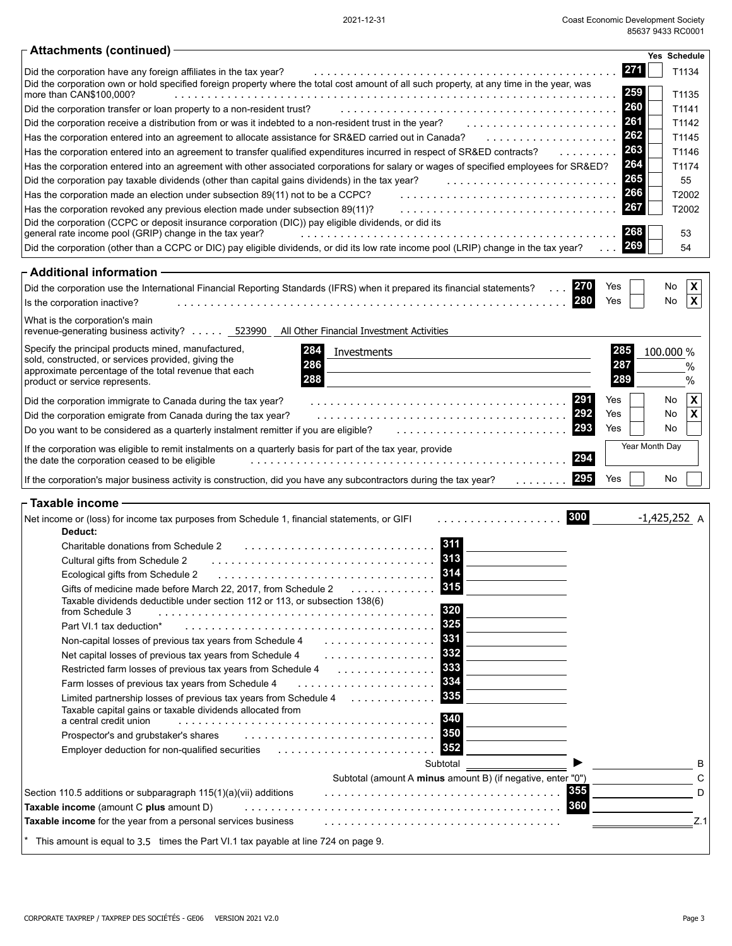2021-12-31 Coast Economic Development Society 85637 9433 RC0001

| 2021-12-31 |  |
|------------|--|

| $\mathop{\rule[1pt]{.5pt}{0.5pt}\mathsf{--}}$ Attachments (continued) $\cdot$                                                                                                                                                                                                                                          | Yes Schedule                    |
|------------------------------------------------------------------------------------------------------------------------------------------------------------------------------------------------------------------------------------------------------------------------------------------------------------------------|---------------------------------|
| 271<br>Did the corporation have any foreign affiliates in the tax year?                                                                                                                                                                                                                                                | T1134                           |
| Did the corporation own or hold specified foreign property where the total cost amount of all such property, at any time in the year, was<br>259<br>more than CAN\$100,000?                                                                                                                                            | T1135                           |
| 260<br>Did the corporation transfer or loan property to a non-resident trust?                                                                                                                                                                                                                                          | T1141                           |
| 261<br>Did the corporation receive a distribution from or was it indebted to a non-resident trust in the year?                                                                                                                                                                                                         | T1142                           |
| 262<br>Has the corporation entered into an agreement to allocate assistance for SR&ED carried out in Canada?                                                                                                                                                                                                           | T1145                           |
| 263<br>Has the corporation entered into an agreement to transfer qualified expenditures incurred in respect of SR&ED contracts?<br>.                                                                                                                                                                                   | T1146                           |
| 264<br>Has the corporation entered into an agreement with other associated corporations for salary or wages of specified employees for SR&ED?                                                                                                                                                                          | T1174                           |
| 265<br>Did the corporation pay taxable dividends (other than capital gains dividends) in the tax year?                                                                                                                                                                                                                 | 55                              |
| 266<br>Has the corporation made an election under subsection 89(11) not to be a CCPC?                                                                                                                                                                                                                                  | T2002                           |
| 267<br>Has the corporation revoked any previous election made under subsection 89(11)?                                                                                                                                                                                                                                 | T2002                           |
| Did the corporation (CCPC or deposit insurance corporation (DIC)) pay eligible dividends, or did its<br>268<br>general rate income pool (GRIP) change in the tax year?<br>269<br>Did the corporation (other than a CCPC or DIC) pay eligible dividends, or did its low rate income pool (LRIP) change in the tax year? | 53<br>54                        |
| $\mathsf{\Gamma}$ Additional information $\mathsf{\Gamma}$                                                                                                                                                                                                                                                             |                                 |
| 270<br>Yes<br>Did the corporation use the International Financial Reporting Standards (IFRS) when it prepared its financial statements?                                                                                                                                                                                | $\boldsymbol{\mathsf{x}}$<br>No |
| 280<br>Yes                                                                                                                                                                                                                                                                                                             | No<br>$\mathsf{X}$              |
| Is the corporation inactive?                                                                                                                                                                                                                                                                                           |                                 |
| What is the corporation's main<br>revenue-generating business activity? 523990<br>All Other Financial Investment Activities                                                                                                                                                                                            |                                 |
| Specify the principal products mined, manufactured,<br>284<br>285<br>Investments                                                                                                                                                                                                                                       | 100.000 %                       |
| sold, constructed, or services provided, giving the<br>286<br>287                                                                                                                                                                                                                                                      | %                               |
| approximate percentage of the total revenue that each<br>288<br>289<br>product or service represents.                                                                                                                                                                                                                  | $\%$                            |
|                                                                                                                                                                                                                                                                                                                        |                                 |
| 291<br>Yes<br>Did the corporation immigrate to Canada during the tax year?                                                                                                                                                                                                                                             | $\boldsymbol{\mathsf{x}}$<br>No |
| 292<br>Yes<br>Did the corporation emigrate from Canada during the tax year?                                                                                                                                                                                                                                            | X<br>No                         |
| 293<br>Yes<br>Do you want to be considered as a quarterly instalment remitter if you are eligible?                                                                                                                                                                                                                     | No                              |
| Year Month Day<br>If the corporation was eligible to remit instalments on a quarterly basis for part of the tax year, provide<br>294<br>the date the corporation ceased to be eligible                                                                                                                                 |                                 |
| 295<br>Yes<br>If the corporation's major business activity is construction, did you have any subcontractors during the tax year?<br>$\mathcal{L}$ . The set of the set of $\mathcal{L}$                                                                                                                                | No                              |
| $\mathop{\mathsf{~\bar{}}}\nolimits$ Taxable income                                                                                                                                                                                                                                                                    |                                 |
| 300<br>Net income or (loss) for income tax purposes from Schedule 1, financial statements, or GIFI<br>.                                                                                                                                                                                                                | $-1,425,252$ A                  |
| Deduct:                                                                                                                                                                                                                                                                                                                |                                 |
| 311<br>Charitable donations from Schedule 2                                                                                                                                                                                                                                                                            |                                 |
| 313<br>Cultural gifts from Schedule 2                                                                                                                                                                                                                                                                                  |                                 |
| 314<br>Ecological gifts from Schedule 2                                                                                                                                                                                                                                                                                |                                 |
| 315<br>Gifts of medicine made before March 22, 2017, from Schedule 2<br>Taxable dividends deductible under section 112 or 113, or subsection 138(6)                                                                                                                                                                    |                                 |
| 320<br>from Schedule 3                                                                                                                                                                                                                                                                                                 |                                 |
| 325<br>Part VI.1 tax deduction*                                                                                                                                                                                                                                                                                        |                                 |
| 331<br>Non-capital losses of previous tax years from Schedule 4<br>.                                                                                                                                                                                                                                                   |                                 |
| 332<br>Net capital losses of previous tax years from Schedule 4<br>.                                                                                                                                                                                                                                                   |                                 |
| 333<br>Restricted farm losses of previous tax years from Schedule 4<br>.                                                                                                                                                                                                                                               |                                 |
| 334<br>Farm losses of previous tax years from Schedule 4                                                                                                                                                                                                                                                               |                                 |
| 335<br>Limited partnership losses of previous tax years from Schedule 4<br>Taxable capital gains or taxable dividends allocated from<br>340<br>a central credit union                                                                                                                                                  |                                 |
| $\cdots$<br>350                                                                                                                                                                                                                                                                                                        |                                 |
| Prospector's and grubstaker's shares<br>352                                                                                                                                                                                                                                                                            |                                 |
| Employer deduction for non-qualified securities                                                                                                                                                                                                                                                                        |                                 |
| Subtotal                                                                                                                                                                                                                                                                                                               | в                               |
| Subtotal (amount A minus amount B) (if negative, enter "0"<br>355                                                                                                                                                                                                                                                      | С                               |
| Section 110.5 additions or subparagraph 115(1)(a)(vii) additions<br>360                                                                                                                                                                                                                                                | D                               |
| Taxable income (amount C plus amount D)                                                                                                                                                                                                                                                                                |                                 |
| Taxable income for the year from a personal services business                                                                                                                                                                                                                                                          | Z.1                             |
| This amount is equal to 3.5 times the Part VI.1 tax payable at line 724 on page 9.                                                                                                                                                                                                                                     |                                 |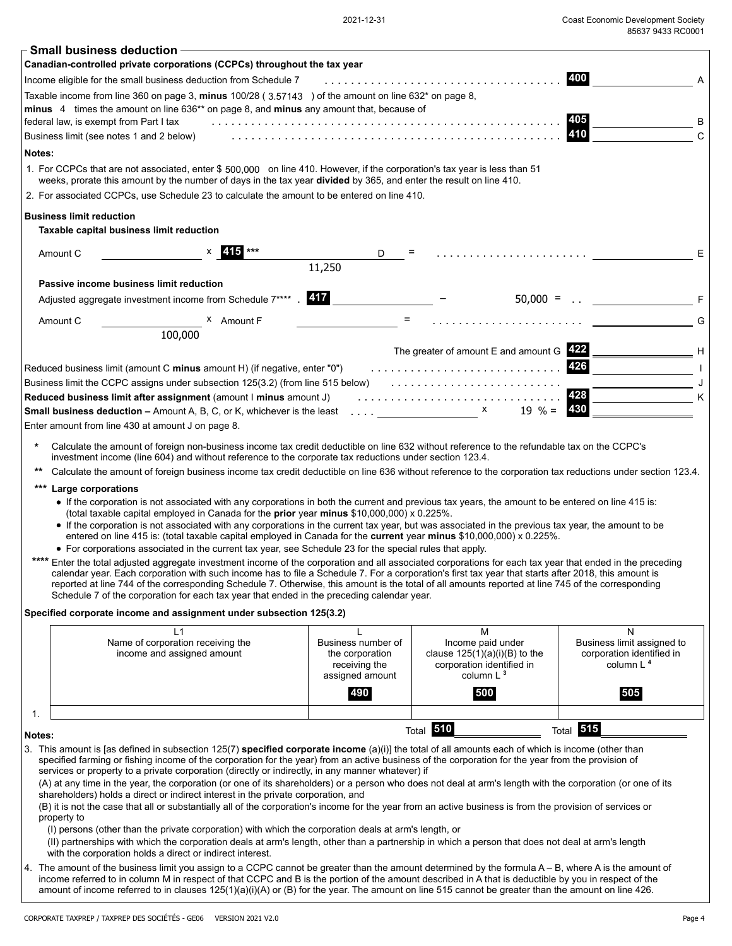|  | 2021-12-31 |  |
|--|------------|--|
|  |            |  |

| − Small business deduction <sup>-</sup>                                                                                                                                                                                                                                                                                                                                                                                                                                                                                                                                                                                                                                                                                                                                                                                                                                                                                                                 |                                                                                          |                                                                                                       |                                                                                       |
|---------------------------------------------------------------------------------------------------------------------------------------------------------------------------------------------------------------------------------------------------------------------------------------------------------------------------------------------------------------------------------------------------------------------------------------------------------------------------------------------------------------------------------------------------------------------------------------------------------------------------------------------------------------------------------------------------------------------------------------------------------------------------------------------------------------------------------------------------------------------------------------------------------------------------------------------------------|------------------------------------------------------------------------------------------|-------------------------------------------------------------------------------------------------------|---------------------------------------------------------------------------------------|
| Canadian-controlled private corporations (CCPCs) throughout the tax year                                                                                                                                                                                                                                                                                                                                                                                                                                                                                                                                                                                                                                                                                                                                                                                                                                                                                |                                                                                          |                                                                                                       |                                                                                       |
| Income eligible for the small business deduction from Schedule 7                                                                                                                                                                                                                                                                                                                                                                                                                                                                                                                                                                                                                                                                                                                                                                                                                                                                                        |                                                                                          |                                                                                                       | 400<br>A                                                                              |
| Taxable income from line 360 on page 3, minus 100/28 (3.57143) of the amount on line 632* on page 8,                                                                                                                                                                                                                                                                                                                                                                                                                                                                                                                                                                                                                                                                                                                                                                                                                                                    |                                                                                          |                                                                                                       |                                                                                       |
| <b>minus</b> 4 times the amount on line 636 <sup>**</sup> on page 8, and <b>minus</b> any amount that, because of                                                                                                                                                                                                                                                                                                                                                                                                                                                                                                                                                                                                                                                                                                                                                                                                                                       |                                                                                          |                                                                                                       | 405                                                                                   |
| federal law, is exempt from Part I tax                                                                                                                                                                                                                                                                                                                                                                                                                                                                                                                                                                                                                                                                                                                                                                                                                                                                                                                  |                                                                                          |                                                                                                       | B<br>410                                                                              |
| Business limit (see notes 1 and 2 below)                                                                                                                                                                                                                                                                                                                                                                                                                                                                                                                                                                                                                                                                                                                                                                                                                                                                                                                |                                                                                          |                                                                                                       | C                                                                                     |
| Notes:                                                                                                                                                                                                                                                                                                                                                                                                                                                                                                                                                                                                                                                                                                                                                                                                                                                                                                                                                  |                                                                                          |                                                                                                       |                                                                                       |
| 1. For CCPCs that are not associated, enter \$500,000 on line 410. However, if the corporation's tax year is less than 51<br>weeks, prorate this amount by the number of days in the tax year divided by 365, and enter the result on line 410.                                                                                                                                                                                                                                                                                                                                                                                                                                                                                                                                                                                                                                                                                                         |                                                                                          |                                                                                                       |                                                                                       |
| 2. For associated CCPCs, use Schedule 23 to calculate the amount to be entered on line 410.                                                                                                                                                                                                                                                                                                                                                                                                                                                                                                                                                                                                                                                                                                                                                                                                                                                             |                                                                                          |                                                                                                       |                                                                                       |
| <b>Business limit reduction</b>                                                                                                                                                                                                                                                                                                                                                                                                                                                                                                                                                                                                                                                                                                                                                                                                                                                                                                                         |                                                                                          |                                                                                                       |                                                                                       |
| Taxable capital business limit reduction                                                                                                                                                                                                                                                                                                                                                                                                                                                                                                                                                                                                                                                                                                                                                                                                                                                                                                                |                                                                                          |                                                                                                       |                                                                                       |
| 415 ***                                                                                                                                                                                                                                                                                                                                                                                                                                                                                                                                                                                                                                                                                                                                                                                                                                                                                                                                                 |                                                                                          |                                                                                                       |                                                                                       |
| Amount C                                                                                                                                                                                                                                                                                                                                                                                                                                                                                                                                                                                                                                                                                                                                                                                                                                                                                                                                                | D<br>11,250                                                                              |                                                                                                       | Е                                                                                     |
|                                                                                                                                                                                                                                                                                                                                                                                                                                                                                                                                                                                                                                                                                                                                                                                                                                                                                                                                                         |                                                                                          |                                                                                                       |                                                                                       |
| Passive income business limit reduction                                                                                                                                                                                                                                                                                                                                                                                                                                                                                                                                                                                                                                                                                                                                                                                                                                                                                                                 | 417                                                                                      |                                                                                                       |                                                                                       |
| Adjusted aggregate investment income from Schedule 7****                                                                                                                                                                                                                                                                                                                                                                                                                                                                                                                                                                                                                                                                                                                                                                                                                                                                                                |                                                                                          | $50,000 =$                                                                                            | F                                                                                     |
| <sup>X</sup> Amount F<br>Amount C                                                                                                                                                                                                                                                                                                                                                                                                                                                                                                                                                                                                                                                                                                                                                                                                                                                                                                                       |                                                                                          | .                                                                                                     | G                                                                                     |
| 100,000                                                                                                                                                                                                                                                                                                                                                                                                                                                                                                                                                                                                                                                                                                                                                                                                                                                                                                                                                 |                                                                                          |                                                                                                       |                                                                                       |
|                                                                                                                                                                                                                                                                                                                                                                                                                                                                                                                                                                                                                                                                                                                                                                                                                                                                                                                                                         |                                                                                          | The greater of amount $E$ and amount $G$ 422                                                          |                                                                                       |
| Reduced business limit (amount C minus amount H) (if negative, enter "0")                                                                                                                                                                                                                                                                                                                                                                                                                                                                                                                                                                                                                                                                                                                                                                                                                                                                               |                                                                                          |                                                                                                       | 426                                                                                   |
| Business limit the CCPC assigns under subsection 125(3.2) (from line 515 below)                                                                                                                                                                                                                                                                                                                                                                                                                                                                                                                                                                                                                                                                                                                                                                                                                                                                         |                                                                                          |                                                                                                       |                                                                                       |
| Reduced business limit after assignment (amount I minus amount J)                                                                                                                                                                                                                                                                                                                                                                                                                                                                                                                                                                                                                                                                                                                                                                                                                                                                                       |                                                                                          |                                                                                                       | 428<br>Κ                                                                              |
| <b>Small business deduction - Amount A, B, C, or K, whichever is the least</b>                                                                                                                                                                                                                                                                                                                                                                                                                                                                                                                                                                                                                                                                                                                                                                                                                                                                          | $\mathbf{1}$ , and $\mathbf{1}$ , and $\mathbf{1}$ , and $\mathbf{1}$ , and $\mathbf{1}$ | $19 \% =$                                                                                             | 430                                                                                   |
| Enter amount from line 430 at amount J on page 8.                                                                                                                                                                                                                                                                                                                                                                                                                                                                                                                                                                                                                                                                                                                                                                                                                                                                                                       |                                                                                          |                                                                                                       |                                                                                       |
| Calculate the amount of foreign non-business income tax credit deductible on line 632 without reference to the refundable tax on the CCPC's<br>investment income (line 604) and without reference to the corporate tax reductions under section 123.4.<br>Calculate the amount of foreign business income tax credit deductible on line 636 without reference to the corporation tax reductions under section 123.4.<br>$***$<br>Large corporations                                                                                                                                                                                                                                                                                                                                                                                                                                                                                                     |                                                                                          |                                                                                                       |                                                                                       |
| • If the corporation is not associated with any corporations in both the current and previous tax years, the amount to be entered on line 415 is:<br>(total taxable capital employed in Canada for the <b>prior</b> year <b>minus</b> $$10,000,000$ ) x 0.225%.<br>• If the corporation is not associated with any corporations in the current tax year, but was associated in the previous tax year, the amount to be<br>entered on line 415 is: (total taxable capital employed in Canada for the current year minus \$10,000,000) x 0.225%.<br>• For corporations associated in the current tax year, see Schedule 23 for the special rules that apply.                                                                                                                                                                                                                                                                                              |                                                                                          |                                                                                                       |                                                                                       |
| **** Enter the total adjusted aggregate investment income of the corporation and all associated corporations for each tax year that ended in the preceding<br>calendar year. Each corporation with such income has to file a Schedule 7. For a corporation's first tax year that starts after 2018, this amount is<br>reported at line 744 of the corresponding Schedule 7. Otherwise, this amount is the total of all amounts reported at line 745 of the corresponding<br>Schedule 7 of the corporation for each tax year that ended in the preceding calendar year.                                                                                                                                                                                                                                                                                                                                                                                  |                                                                                          |                                                                                                       |                                                                                       |
| Specified corporate income and assignment under subsection 125(3.2)                                                                                                                                                                                                                                                                                                                                                                                                                                                                                                                                                                                                                                                                                                                                                                                                                                                                                     |                                                                                          |                                                                                                       |                                                                                       |
| L1<br>Name of corporation receiving the<br>income and assigned amount                                                                                                                                                                                                                                                                                                                                                                                                                                                                                                                                                                                                                                                                                                                                                                                                                                                                                   | L<br>Business number of<br>the corporation<br>receiving the<br>assigned amount           | M<br>Income paid under<br>clause $125(1)(a)(i)(B)$ to the<br>corporation identified in<br>column $L3$ | N<br>Business limit assigned to<br>corporation identified in<br>column L <sup>4</sup> |
|                                                                                                                                                                                                                                                                                                                                                                                                                                                                                                                                                                                                                                                                                                                                                                                                                                                                                                                                                         | 490                                                                                      | 500                                                                                                   | 505                                                                                   |
| 1.                                                                                                                                                                                                                                                                                                                                                                                                                                                                                                                                                                                                                                                                                                                                                                                                                                                                                                                                                      |                                                                                          |                                                                                                       |                                                                                       |
| Notes:                                                                                                                                                                                                                                                                                                                                                                                                                                                                                                                                                                                                                                                                                                                                                                                                                                                                                                                                                  |                                                                                          | Total 510                                                                                             | Total 515                                                                             |
| 3. This amount is [as defined in subsection 125(7) specified corporate income (a)(i)] the total of all amounts each of which is income (other than<br>specified farming or fishing income of the corporation for the year) from an active business of the corporation for the year from the provision of<br>services or property to a private corporation (directly or indirectly, in any manner whatever) if<br>(A) at any time in the year, the corporation (or one of its shareholders) or a person who does not deal at arm's length with the corporation (or one of its<br>shareholders) holds a direct or indirect interest in the private corporation, and<br>(B) it is not the case that all or substantially all of the corporation's income for the year from an active business is from the provision of services or<br>property to<br>(I) persons (other than the private corporation) with which the corporation deals at arm's length, or |                                                                                          |                                                                                                       |                                                                                       |
| (II) partnerships with which the corporation deals at arm's length, other than a partnership in which a person that does not deal at arm's length<br>with the corporation holds a direct or indirect interest.<br>4. The amount of the business limit you assign to a CCPC cannot be greater than the amount determined by the formula A - B, where A is the amount of                                                                                                                                                                                                                                                                                                                                                                                                                                                                                                                                                                                  |                                                                                          |                                                                                                       |                                                                                       |
| income referred to in column M in respect of that CCPC and B is the portion of the amount described in A that is deductible by you in respect of the<br>amount of income referred to in clauses $125(1)(a)(i)(A)$ or (B) for the year. The amount on line 515 cannot be greater than the amount on line 426.                                                                                                                                                                                                                                                                                                                                                                                                                                                                                                                                                                                                                                            |                                                                                          |                                                                                                       |                                                                                       |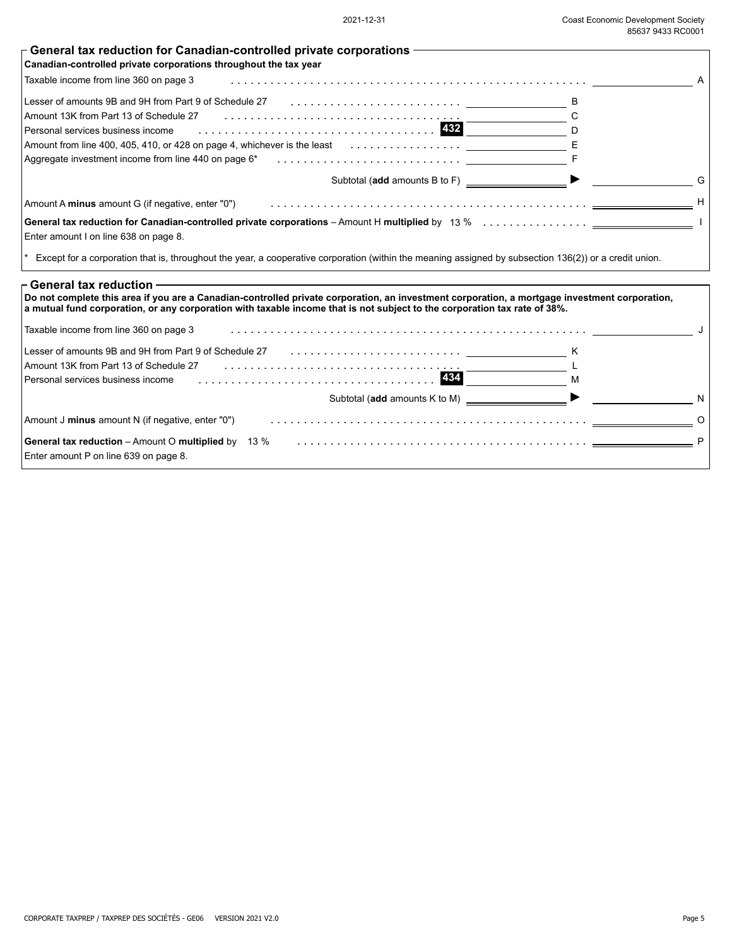| $\mathop{\rule{0pt}{0pt}\text{}}$ General tax reduction for Canadian-controlled private corporations ———————————                                                                                                                                                                                        |   |
|---------------------------------------------------------------------------------------------------------------------------------------------------------------------------------------------------------------------------------------------------------------------------------------------------------|---|
| Canadian-controlled private corporations throughout the tax year                                                                                                                                                                                                                                        | A |
| Taxable income from line 360 on page 3                                                                                                                                                                                                                                                                  |   |
| Lesser of amounts 9B and 9H from Part 9 of Schedule 27 with the state of a state of amounts 9B and 9H from Part 9 of Schedule 27 with the state of the state of the B                                                                                                                                   |   |
| Amount 13K from Part 13 of Schedule 27<br>Personal services business income expansion in the contract of the contract of the Dersonal services business income                                                                                                                                          |   |
|                                                                                                                                                                                                                                                                                                         |   |
| Amount from line 400, 405, 410, or 428 on page 4, whichever is the least enter the set of the set of the least the set of the least and the set of the set of the set of the set of the set of the least and the set of the se                                                                          |   |
| Aggregate investment income from line 440 on page 6* exercise with the series of the series of the series of the series of the series of the series of the series of the series of the series of the series of the series of t                                                                          |   |
|                                                                                                                                                                                                                                                                                                         |   |
| Amount A minus amount G (if negative, enter "0") entitled to contact the contract of the contract of the contract of the contract of the contract of the contract of the contract of the contract of the contract of the contr                                                                          |   |
| Enter amount I on line 638 on page 8.                                                                                                                                                                                                                                                                   |   |
| Except for a corporation that is, throughout the year, a cooperative corporation (within the meaning assigned by subsection 136(2)) or a credit union.                                                                                                                                                  |   |
| − General tax reduction −<br>Do not complete this area if you are a Canadian-controlled private corporation, an investment corporation, a mortgage investment corporation,<br>a mutual fund corporation, or any corporation with taxable income that is not subject to the corporation tax rate of 38%. |   |
| Taxable income from line 360 on page 3<br>. The second construction of the construction of the construction of the construction $\mathcal{L}^{\mathcal{L}}$                                                                                                                                             |   |
| Lesser of amounts 9B and 9H from Part 9 of Schedule 27 match with the state of amounts 9B and 9H from Part 9 of Schedule 27 match with the state of an amount of $K$                                                                                                                                    |   |
| Amount 13K from Part 13 of Schedule 27 American American American American American American American American                                                                                                                                                                                          |   |
| Personal services business income expansion of the contract of the contract of the contract of the contract of the contract of the contract of the contract of the contract of the contract of the contract of the contract of                                                                          |   |
| Subtotal (add amounts K to M) _______________________                                                                                                                                                                                                                                                   | N |

| Amount J minus amount N (if negative, enter "0")           |  |
|------------------------------------------------------------|--|
| <b>General tax reduction</b> – Amount O multiplied by 13 % |  |
| Enter amount P on line 639 on page 8.                      |  |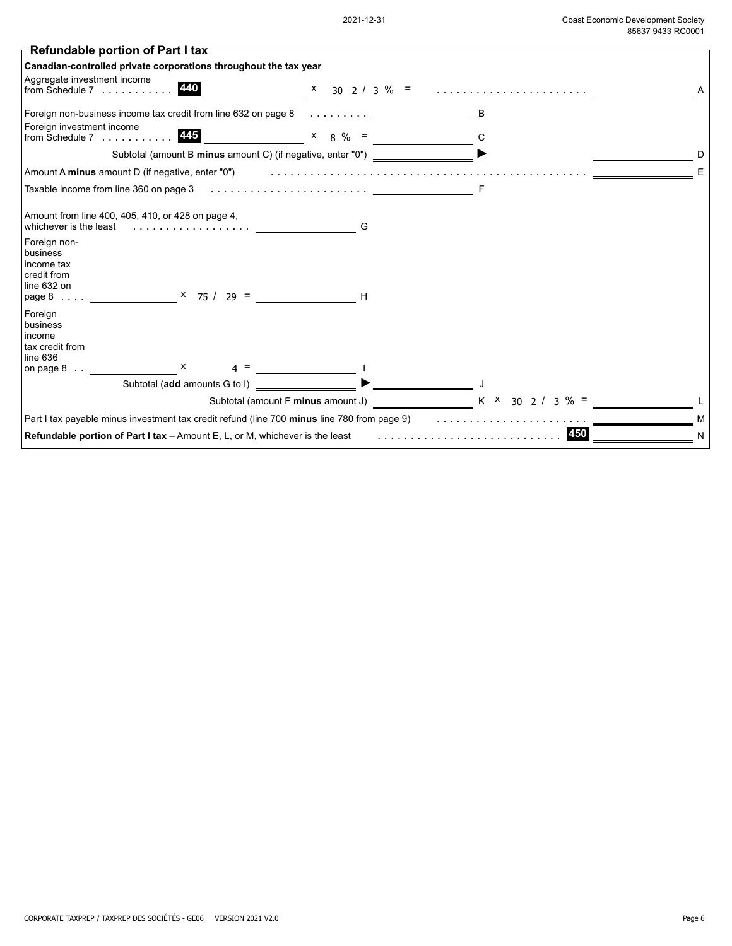| $\mathsf{\Gamma}$ Refundable portion of Part I tax $\mathsf{\Gamma}$                                                                                                                                                     |   |                                                                                          |   |
|--------------------------------------------------------------------------------------------------------------------------------------------------------------------------------------------------------------------------|---|------------------------------------------------------------------------------------------|---|
| Canadian-controlled private corporations throughout the tax year                                                                                                                                                         |   |                                                                                          |   |
| Aggregate investment income<br>440<br>from Schedule $7 \ldots \ldots \ldots$                                                                                                                                             | X | $30 \t2 \t3 \t\t\t% = \t\t\ldots \t\t\ldots \t\t\ldots \t\t\ldots \t\t\ldots \t\t\ldots$ |   |
| Foreign non-business income tax credit from line 632 on page $8 \ldots \ldots$                                                                                                                                           |   | B                                                                                        |   |
| Foreign investment income<br>Foreign investment module<br>from Schedule 7 445                                                                                                                                            |   |                                                                                          |   |
| Subtotal (amount B minus amount C) (if negative, enter "0") ____________________                                                                                                                                         |   |                                                                                          | D |
| Amount A minus amount D (if negative, enter "0") entercal contained and contained a model of the contained and the model of Amount A minus amount D (if negative, enter "0")                                             |   |                                                                                          |   |
| Taxable income from line 360 on page $3$ $\ldots$ $\ldots$ $\ldots$ $\ldots$ $\ldots$ $\ldots$ $\ldots$                                                                                                                  |   |                                                                                          |   |
| Amount from line 400, 405, 410, or 428 on page 4,<br>whichever is the least                                                                                                                                              |   |                                                                                          |   |
| Foreign non-<br>business<br>income tax<br>credit from<br>line $632$ on                                                                                                                                                   |   |                                                                                          |   |
| Foreign<br>business<br>income<br>tax credit from<br>line 636<br>on page $8 \ldots$ X<br>$4 =$                                                                                                                            |   |                                                                                          |   |
| Subtotal (add amounts G to I)                                                                                                                                                                                            |   |                                                                                          |   |
|                                                                                                                                                                                                                          |   | $30 \t2 / 3 \% =$                                                                        |   |
| Part I tax payable minus investment tax credit refund (line 700 minus line 780 from page 9) [1, [1, [1, [1, [1, [1, [1, [1]] Part I tax payable minus investment tax credit refund (line 700 minus line 780 from page 9) |   |                                                                                          |   |
| <b>Refundable portion of Part I tax</b> $-$ Amount E, L, or M, whichever is the least                                                                                                                                    |   | 450                                                                                      |   |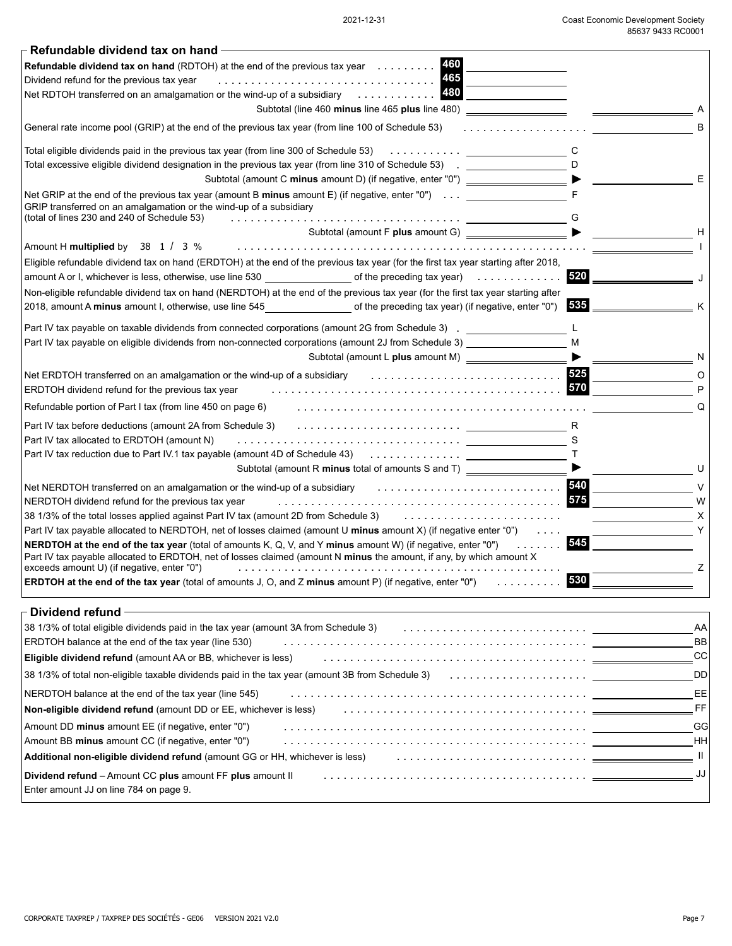| 460<br><b>Refundable dividend tax on hand</b> (RDTOH) at the end of the previous tax year $\dots\dots\dots$                                                                                                                                                                                                                                                                 |    |
|-----------------------------------------------------------------------------------------------------------------------------------------------------------------------------------------------------------------------------------------------------------------------------------------------------------------------------------------------------------------------------|----|
| 465<br>Dividend refund for the previous tax year                                                                                                                                                                                                                                                                                                                            |    |
| 480<br>Net RDTOH transferred on an amalgamation or the wind-up of a subsidiary                                                                                                                                                                                                                                                                                              |    |
| Subtotal (line 460 minus line 465 plus line 480) ____________________                                                                                                                                                                                                                                                                                                       |    |
| General rate income pool (GRIP) at the end of the previous tax year (from line 100 of Schedule 53)                                                                                                                                                                                                                                                                          |    |
| Total eligible dividends paid in the previous tax year (from line 300 of Schedule 53)                                                                                                                                                                                                                                                                                       |    |
| Total excessive eligible dividend designation in the previous tax year (from line 310 of Schedule 53) [2012] C                                                                                                                                                                                                                                                              |    |
| Subtotal (amount C minus amount D) (if negative, enter "0") __________________                                                                                                                                                                                                                                                                                              | Е  |
| GRIP transferred on an amalgamation or the wind-up of a subsidiary                                                                                                                                                                                                                                                                                                          |    |
| (total of lines 230 and 240 of Schedule 53)                                                                                                                                                                                                                                                                                                                                 |    |
| Subtotal (amount F plus amount G) ______________________                                                                                                                                                                                                                                                                                                                    |    |
| Amount H multiplied by $38 \t1 / 3 \%$                                                                                                                                                                                                                                                                                                                                      |    |
| Eligible refundable dividend tax on hand (ERDTOH) at the end of the previous tax year (for the first tax year starting after 2018,<br>amount A or I, whichever is less, otherwise, use line 530 of the preceding tax year) contact with the preceding tax year and the preceding tax year and the unit of the preceding tax year and the unit of the preceding tax y<br>520 |    |
| Non-eligible refundable dividend tax on hand (NERDTOH) at the end of the previous tax year (for the first tax year starting after                                                                                                                                                                                                                                           |    |
| 2018, amount A minus amount I, otherwise, use line 545 of the preceding tax year) (if negative, enter "0") 535                                                                                                                                                                                                                                                              |    |
| Part IV tax payable on taxable dividends from connected corporations (amount 2G from Schedule 3) [1999] [29] L                                                                                                                                                                                                                                                              |    |
| Part IV tax payable on eligible dividends from non-connected corporations (amount 2J from Schedule 3) M                                                                                                                                                                                                                                                                     |    |
| Subtotal (amount L plus amount M) _______________________                                                                                                                                                                                                                                                                                                                   |    |
| Net ERDTOH transferred on an amalgamation or the wind-up of a subsidiary with the content of the section of 525                                                                                                                                                                                                                                                             | O  |
| ERDTOH dividend refund for the previous tax year                                                                                                                                                                                                                                                                                                                            |    |
| Refundable portion of Part I tax (from line 450 on page 6)                                                                                                                                                                                                                                                                                                                  | Q  |
|                                                                                                                                                                                                                                                                                                                                                                             |    |
| Part IV tax allocated to ERDTOH (amount N)                                                                                                                                                                                                                                                                                                                                  |    |
| Part IV tax reduction due to Part IV.1 tax payable (amount 4D of Schedule 43) _____________________                                                                                                                                                                                                                                                                         |    |
| Subtotal (amount R minus total of amounts S and T) _____________________                                                                                                                                                                                                                                                                                                    | U  |
| Net NERDTOH transferred on an amalgamation or the wind-up of a subsidiary with the state of the state of the sta                                                                                                                                                                                                                                                            | V  |
| 575<br>NERDTOH dividend refund for the previous tax year                                                                                                                                                                                                                                                                                                                    | W  |
| 38 1/3% of the total losses applied against Part IV tax (amount 2D from Schedule 3)                                                                                                                                                                                                                                                                                         | X  |
| Part IV tax payable allocated to NERDTOH, net of losses claimed (amount U minus amount X) (if negative enter "0")                                                                                                                                                                                                                                                           |    |
| 545<br>NERDTOH at the end of the tax year (total of amounts K, Q, V, and Y minus amount W) (if negative, enter "0")                                                                                                                                                                                                                                                         |    |
| Part IV tax payable allocated to ERDTOH, net of losses claimed (amount N minus the amount, if any, by which amount X                                                                                                                                                                                                                                                        |    |
| exceeds amount U) (if negative, enter "0")                                                                                                                                                                                                                                                                                                                                  | Ζ  |
| 530<br><b>ERDTOH</b> at the end of the tax year (total of amounts J, O, and Z minus amount P) (if negative, enter "0")                                                                                                                                                                                                                                                      |    |
| $\mathsf{\Gamma}$ Dividend refund -                                                                                                                                                                                                                                                                                                                                         |    |
| 38 1/3% of total eligible dividends paid in the tax year (amount 3A from Schedule 3)                                                                                                                                                                                                                                                                                        | AA |
| ERDTOH balance at the end of the tax year (line 530)                                                                                                                                                                                                                                                                                                                        | BB |
| Eligible dividend refund (amount AA or BB, whichever is less)                                                                                                                                                                                                                                                                                                               | CC |
|                                                                                                                                                                                                                                                                                                                                                                             | DD |
| NERDTOH balance at the end of the tax year (line 545)                                                                                                                                                                                                                                                                                                                       | EE |
| Non-eligible dividend refund (amount DD or EE, whichever is less)                                                                                                                                                                                                                                                                                                           | FF |
| Amount DD minus amount EE (if negative, enter "0")                                                                                                                                                                                                                                                                                                                          | GG |
| Amount BB minus amount CC (if negative, enter "0")                                                                                                                                                                                                                                                                                                                          | HH |

**Dividend refund** – Amount CC **plus** amount FF **plus** amount II . . . . . . . . . . . . . . . . . . . . . . . . . . . . . . . . . . . . . . . .

Additional non-eligible dividend refund (amount GG or HH, whichever is less) **Accompany of the Container and Conta** 

Enter amount JJ on line 784 on page 9.

II JJ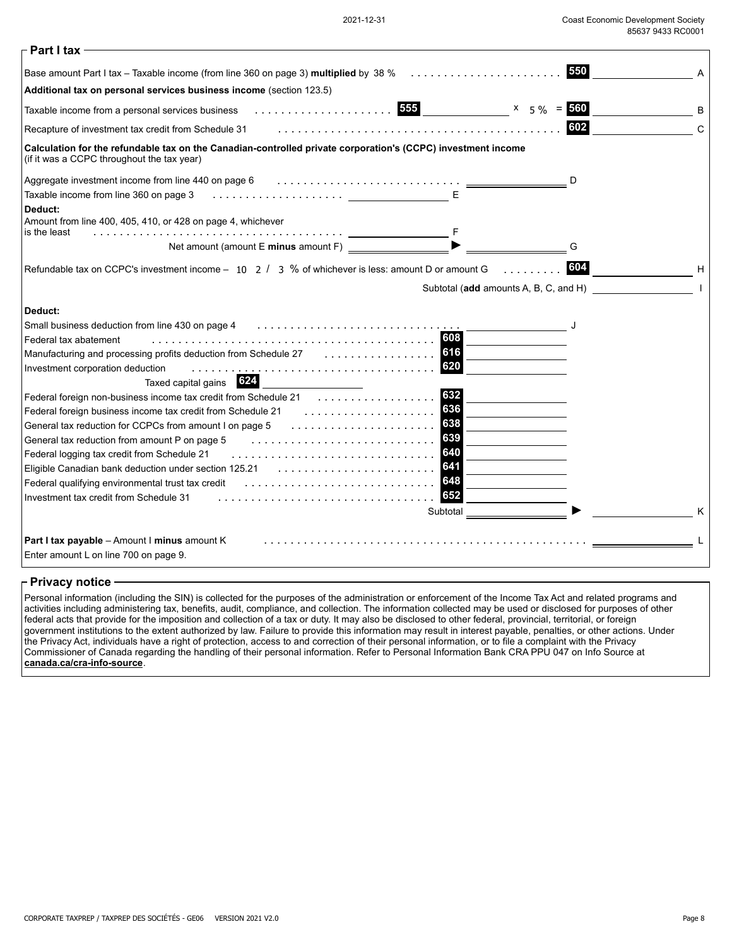| Part I tax                                                                                                                                                                                                                            | 550                                   |   |
|---------------------------------------------------------------------------------------------------------------------------------------------------------------------------------------------------------------------------------------|---------------------------------------|---|
| Base amount Part I tax - Taxable income (from line 360 on page 3) multiplied by 38 %                                                                                                                                                  |                                       |   |
| Additional tax on personal services business income (section 123.5)                                                                                                                                                                   |                                       |   |
| Taxable income from a personal services business                                                                                                                                                                                      | <b>555</b> $\times$ 5% = 560          | B |
| Recapture of investment tax credit from Schedule 31                                                                                                                                                                                   | 602                                   | C |
| Calculation for the refundable tax on the Canadian-controlled private corporation's (CCPC) investment income<br>(if it was a CCPC throughout the tax year)                                                                            |                                       |   |
| Aggregate investment income from line 440 on page 6 $\ldots \ldots \ldots \ldots \ldots \ldots \ldots \ldots \ldots$                                                                                                                  | D                                     |   |
| Taxable income from line 360 on page 3                                                                                                                                                                                                |                                       |   |
| Deduct:<br>Amount from line 400, 405, 410, or 428 on page 4, whichever<br>is the least                                                                                                                                                |                                       |   |
|                                                                                                                                                                                                                                       | G                                     |   |
|                                                                                                                                                                                                                                       | 604                                   |   |
| Refundable tax on CCPC's investment income $-10$ 2 / 3 % of whichever is less: amount D or amount G                                                                                                                                   |                                       | н |
|                                                                                                                                                                                                                                       | Subtotal (add amounts A, B, C, and H) |   |
| Deduct:                                                                                                                                                                                                                               |                                       |   |
| Small business deduction from line 430 on page 4 maturity of the state of state state of the state of the Small Dusiness deduction from line 430 on page 4                                                                            |                                       |   |
| 608<br>Federal tax abatement                                                                                                                                                                                                          |                                       |   |
| 616<br>Manufacturing and processing profits deduction from Schedule 27 [10] Manufacturing and processing profits deduction from Schedule 27 [10] Manufacturing and processing profits deduction from Schedule 27 [10] Manufacturing a |                                       |   |
| 620<br>Investment corporation deduction<br>Taxed capital gains 624.                                                                                                                                                                   |                                       |   |
| 632                                                                                                                                                                                                                                   |                                       |   |
| 636<br>Federal foreign business income tax credit from Schedule 21                                                                                                                                                                    |                                       |   |
| 638<br>General tax reduction for CCPCs from amount I on page 5                                                                                                                                                                        |                                       |   |
| 639<br>General tax reduction from amount P on page 5                                                                                                                                                                                  |                                       |   |
| 640<br>Federal logging tax credit from Schedule 21                                                                                                                                                                                    |                                       |   |
| 641                                                                                                                                                                                                                                   |                                       |   |
| 648<br>Federal qualifying environmental trust tax credit                                                                                                                                                                              |                                       |   |
| 652<br>Investment tax credit from Schedule 31                                                                                                                                                                                         |                                       |   |
| Subtotal                                                                                                                                                                                                                              |                                       | Κ |
|                                                                                                                                                                                                                                       |                                       |   |
| Part I tax payable - Amount I minus amount K                                                                                                                                                                                          |                                       |   |
| Enter amount L on line 700 on page 9.                                                                                                                                                                                                 |                                       |   |

#### **Privacy notice**

Personal information (including the SIN) is collected for the purposes of the administration or enforcement of the Income Tax Act and related programs and activities including administering tax, benefits, audit, compliance, and collection. The information collected may be used or disclosed for purposes of other federal acts that provide for the imposition and collection of a tax or duty. It may also be disclosed to other federal, provincial, territorial, or foreign government institutions to the extent authorized by law. Failure to provide this information may result in interest payable, penalties, or other actions. Under the Privacy Act, individuals have a right of protection, access to and correction of their personal information, or to file a complaint with the Privacy Commissioner of Canada regarding the handling of their personal information. Refer to Personal Information Bank CRA PPU 047 on Info Source at **canada.ca/cra-info-source**.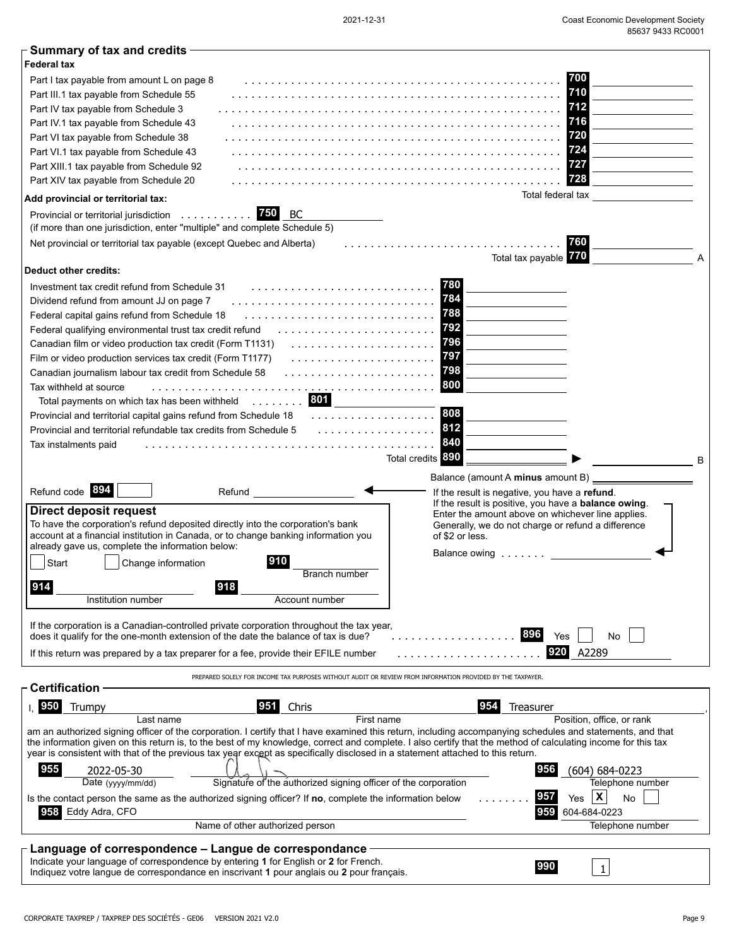| <b>Summary of tax and credits</b>                                                                                                                                                                                                                                                                                           |                                                                       |
|-----------------------------------------------------------------------------------------------------------------------------------------------------------------------------------------------------------------------------------------------------------------------------------------------------------------------------|-----------------------------------------------------------------------|
| <b>Federal tax</b>                                                                                                                                                                                                                                                                                                          |                                                                       |
| Part I tax payable from amount L on page 8                                                                                                                                                                                                                                                                                  | 700                                                                   |
| Part III.1 tax payable from Schedule 55                                                                                                                                                                                                                                                                                     | 710                                                                   |
| Part IV tax payable from Schedule 3                                                                                                                                                                                                                                                                                         | 712                                                                   |
| Part IV.1 tax payable from Schedule 43                                                                                                                                                                                                                                                                                      | 716                                                                   |
| Part VI tax payable from Schedule 38                                                                                                                                                                                                                                                                                        | 720                                                                   |
| Part VI.1 tax payable from Schedule 43                                                                                                                                                                                                                                                                                      | 724                                                                   |
|                                                                                                                                                                                                                                                                                                                             | 727                                                                   |
| Part XIII.1 tax payable from Schedule 92                                                                                                                                                                                                                                                                                    | 728                                                                   |
| Part XIV tax payable from Schedule 20                                                                                                                                                                                                                                                                                       |                                                                       |
| Add provincial or territorial tax:                                                                                                                                                                                                                                                                                          | Total federal tax                                                     |
| 750<br>BC<br>Provincial or territorial jurisdiction                                                                                                                                                                                                                                                                         |                                                                       |
| (if more than one jurisdiction, enter "multiple" and complete Schedule 5)                                                                                                                                                                                                                                                   |                                                                       |
| Net provincial or territorial tax payable (except Quebec and Alberta)                                                                                                                                                                                                                                                       | 760                                                                   |
|                                                                                                                                                                                                                                                                                                                             | Total tax payable 770<br>A                                            |
| Deduct other credits:                                                                                                                                                                                                                                                                                                       |                                                                       |
| Investment tax credit refund from Schedule 31                                                                                                                                                                                                                                                                               | 780                                                                   |
| Dividend refund from amount JJ on page 7                                                                                                                                                                                                                                                                                    | 784                                                                   |
| Federal capital gains refund from Schedule 18                                                                                                                                                                                                                                                                               | 788                                                                   |
|                                                                                                                                                                                                                                                                                                                             | 792                                                                   |
| Federal qualifying environmental trust tax credit refund<br>Canadian film or video production tax credit (Form T1131)                                                                                                                                                                                                       | 796                                                                   |
|                                                                                                                                                                                                                                                                                                                             | 797                                                                   |
| Film or video production services tax credit (Form T1177)                                                                                                                                                                                                                                                                   | 798                                                                   |
| Canadian journalism labour tax credit from Schedule 58                                                                                                                                                                                                                                                                      | 800                                                                   |
| Tax withheld at source                                                                                                                                                                                                                                                                                                      |                                                                       |
| Total payments on which tax has been withheld $\ldots \ldots \ldots$                                                                                                                                                                                                                                                        | 808                                                                   |
| Provincial and territorial capital gains refund from Schedule 18<br>.                                                                                                                                                                                                                                                       |                                                                       |
| Provincial and territorial refundable tax credits from Schedule 5<br>.                                                                                                                                                                                                                                                      | 812                                                                   |
| Tax instalments paid                                                                                                                                                                                                                                                                                                        | 840                                                                   |
|                                                                                                                                                                                                                                                                                                                             | Total credits 890<br>B                                                |
|                                                                                                                                                                                                                                                                                                                             | Balance (amount A minus amount B) _                                   |
| Refund code 894<br>Refund                                                                                                                                                                                                                                                                                                   | If the result is negative, you have a refund.                         |
|                                                                                                                                                                                                                                                                                                                             | If the result is positive, you have a balance owing.                  |
| <b>Direct deposit request</b>                                                                                                                                                                                                                                                                                               | Enter the amount above on whichever line applies.                     |
| To have the corporation's refund deposited directly into the corporation's bank<br>account at a financial institution in Canada, or to change banking information you                                                                                                                                                       | Generally, we do not charge or refund a difference<br>of \$2 or less. |
| already gave us, complete the information below:                                                                                                                                                                                                                                                                            |                                                                       |
| 910<br>Start<br>Change information                                                                                                                                                                                                                                                                                          | Balance owing                                                         |
| <b>Branch number</b>                                                                                                                                                                                                                                                                                                        |                                                                       |
| 914<br>918                                                                                                                                                                                                                                                                                                                  |                                                                       |
| Institution number<br>Account number                                                                                                                                                                                                                                                                                        |                                                                       |
|                                                                                                                                                                                                                                                                                                                             |                                                                       |
| If the corporation is a Canadian-controlled private corporation throughout the tax year,                                                                                                                                                                                                                                    |                                                                       |
| does it qualify for the one-month extension of the date the balance of tax is due?                                                                                                                                                                                                                                          | 896<br>No<br>Yes                                                      |
| If this return was prepared by a tax preparer for a fee, provide their EFILE number                                                                                                                                                                                                                                         | 920<br>A2289                                                          |
|                                                                                                                                                                                                                                                                                                                             |                                                                       |
| PREPARED SOLELY FOR INCOME TAX PURPOSES WITHOUT AUDIT OR REVIEW FROM INFORMATION PROVIDED BY THE TAXPAYER<br><b>Certification</b>                                                                                                                                                                                           |                                                                       |
|                                                                                                                                                                                                                                                                                                                             |                                                                       |
| 1950<br>Trumpy<br>951.<br>Chris                                                                                                                                                                                                                                                                                             | 954<br>Treasurer                                                      |
| Last name<br>First name                                                                                                                                                                                                                                                                                                     | Position, office, or rank                                             |
| am an authorized signing officer of the corporation. I certify that I have examined this return, including accompanying schedules and statements, and that<br>the information given on this return is, to the best of my knowledge, correct and complete. I also certify that the method of calculating income for this tax |                                                                       |
| year is consistent with that of the previous tax year except as specifically disclosed in a statement attached to this return.                                                                                                                                                                                              |                                                                       |
|                                                                                                                                                                                                                                                                                                                             |                                                                       |
| 955<br>2022-05-30                                                                                                                                                                                                                                                                                                           | 956<br>$(604) 684 - 0223$                                             |
| Signature of the authorized signing officer of the corporation<br>Date (yyyy/mm/dd)                                                                                                                                                                                                                                         | Telephone number                                                      |
| Is the contact person the same as the authorized signing officer? If no, complete the information below                                                                                                                                                                                                                     | 957<br>$\mathsf{X}$<br>Yes<br>No                                      |
| Eddy Adra, CFO<br>958                                                                                                                                                                                                                                                                                                       | 959<br>604-684-0223                                                   |
| Name of other authorized person                                                                                                                                                                                                                                                                                             | Telephone number                                                      |
|                                                                                                                                                                                                                                                                                                                             |                                                                       |
|                                                                                                                                                                                                                                                                                                                             |                                                                       |
| Language of correspondence – Langue de correspondance<br>Indicate your language of correspondence by entering 1 for English or 2 for French.                                                                                                                                                                                | 990                                                                   |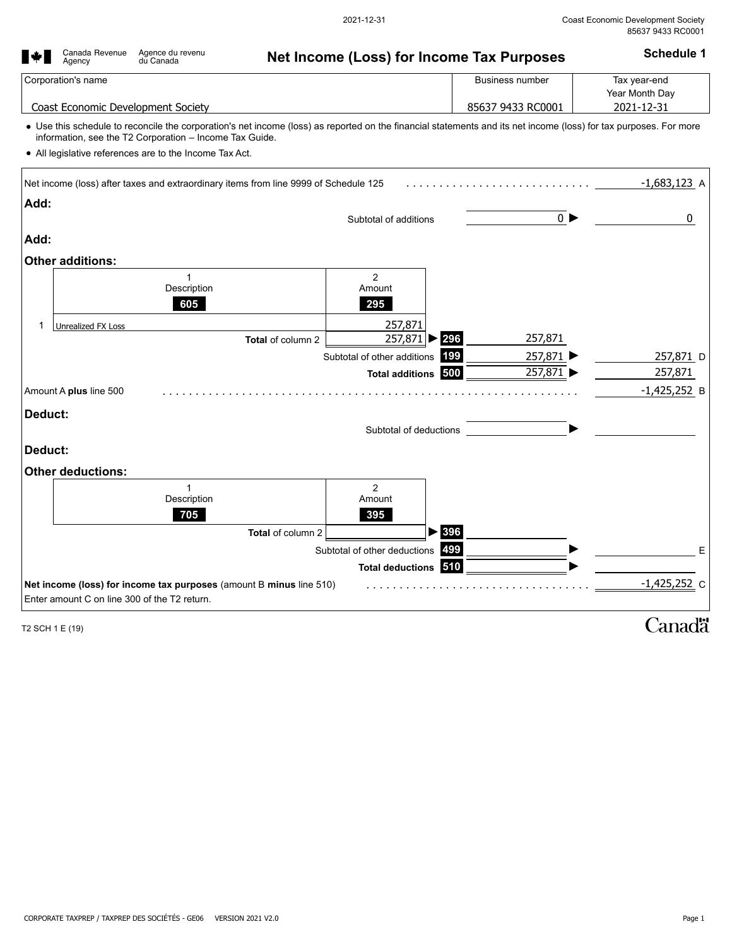|         | du Canada<br>Agency                                                                                                                                                                                                          | Net Income (Loss) for Income Tax Purposes |                        |                |
|---------|------------------------------------------------------------------------------------------------------------------------------------------------------------------------------------------------------------------------------|-------------------------------------------|------------------------|----------------|
|         | Corporation's name                                                                                                                                                                                                           |                                           | <b>Business number</b> | Tax year-end   |
|         |                                                                                                                                                                                                                              |                                           |                        | Year Month Day |
|         | Coast Economic Development Society                                                                                                                                                                                           |                                           | 85637 9433 RC0001      | 2021-12-31     |
|         | • Use this schedule to reconcile the corporation's net income (loss) as reported on the financial statements and its net income (loss) for tax purposes. For more<br>information, see the T2 Corporation - Income Tax Guide. |                                           |                        |                |
|         | • All legislative references are to the Income Tax Act.                                                                                                                                                                      |                                           |                        |                |
|         | Net income (loss) after taxes and extraordinary items from line 9999 of Schedule 125                                                                                                                                         |                                           |                        | $-1,683,123$ A |
| Add:    |                                                                                                                                                                                                                              |                                           |                        |                |
|         |                                                                                                                                                                                                                              | Subtotal of additions                     | $\circ \triangleright$ | 0              |
| Add:    |                                                                                                                                                                                                                              |                                           |                        |                |
|         |                                                                                                                                                                                                                              |                                           |                        |                |
|         | <b>Other additions:</b><br>$\mathbf{1}$                                                                                                                                                                                      | $\overline{2}$                            |                        |                |
|         | Description                                                                                                                                                                                                                  | Amount                                    |                        |                |
|         | 605                                                                                                                                                                                                                          | 295                                       |                        |                |
| 1       | <b>Unrealized FX Loss</b>                                                                                                                                                                                                    | 257,871                                   |                        |                |
|         | Total of column 2                                                                                                                                                                                                            | $257,871$ 296                             | 257,871                |                |
|         |                                                                                                                                                                                                                              | Subtotal of other additions 199           | 257,871 ▶              | 257,871 D      |
|         |                                                                                                                                                                                                                              | Total additions 500                       | 257,871                | 257,871        |
|         | Amount A plus line 500                                                                                                                                                                                                       |                                           |                        | $-1,425,252$ B |
| Deduct: |                                                                                                                                                                                                                              |                                           |                        |                |
|         |                                                                                                                                                                                                                              | Subtotal of deductions                    |                        |                |
| Deduct: |                                                                                                                                                                                                                              |                                           |                        |                |
|         |                                                                                                                                                                                                                              |                                           |                        |                |
|         | <b>Other deductions:</b><br>$\mathbf{1}$                                                                                                                                                                                     | 2                                         |                        |                |
|         | Description                                                                                                                                                                                                                  | Amount                                    |                        |                |
|         | 705                                                                                                                                                                                                                          | 395                                       |                        |                |
|         | Total of column 2                                                                                                                                                                                                            | $\geq$ 396                                |                        |                |
|         |                                                                                                                                                                                                                              | Subtotal of other deductions 499          |                        | E              |
|         |                                                                                                                                                                                                                              | Total deductions 510                      |                        |                |
|         | Net income (loss) for income tax purposes (amount B minus line 510)                                                                                                                                                          |                                           | .                      | $-1,425,252$ C |
|         | Enter amount C on line 300 of the T2 return.                                                                                                                                                                                 |                                           |                        |                |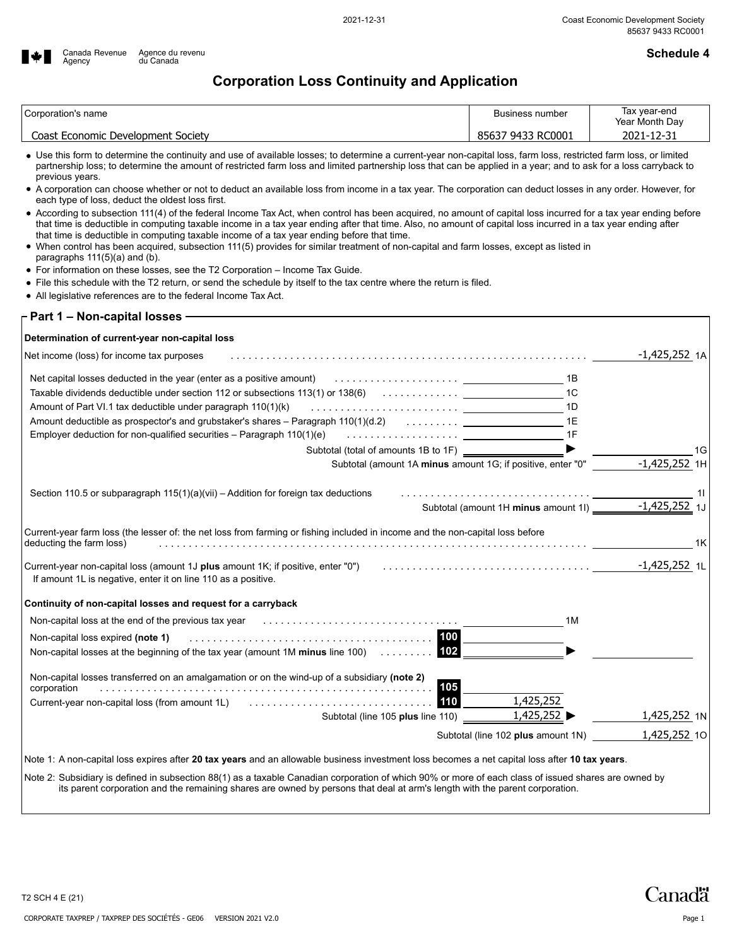

ſ

**Example 3 Schedule 4**<br>■ Agency du Canada Revenue du revenu

### **Corporation Loss Continuity and Application**

| Corporation's name                 | Business number                  | Tax vear-end<br>Year Month Day |
|------------------------------------|----------------------------------|--------------------------------|
| Coast Economic Development Society | <sup>7</sup> 9433 RC0001<br>8563 | 2021-12-31                     |

- Use this form to determine the continuity and use of available losses; to determine a current-year non-capital loss, farm loss, restricted farm loss, or limited partnership loss; to determine the amount of restricted farm loss and limited partnership loss that can be applied in a year; and to ask for a loss carryback to previous years.
- A corporation can choose whether or not to deduct an available loss from income in a tax year. The corporation can deduct losses in any order. However, for each type of loss, deduct the oldest loss first.
- According to subsection 111(4) of the federal Income Tax Act, when control has been acquired, no amount of capital loss incurred for a tax year ending before that time is deductible in computing taxable income in a tax year ending after that time. Also, no amount of capital loss incurred in a tax year ending after that time is deductible in computing taxable income of a tax year ending before that time.
- When control has been acquired, subsection 111(5) provides for similar treatment of non-capital and farm losses, except as listed in paragraphs 111(5)(a) and (b).
- For information on these losses, see the T2 Corporation Income Tax Guide.
- File this schedule with the T2 return, or send the schedule by itself to the tax centre where the return is filed.
- All legislative references are to the federal Income Tax Act.

| − Part 1 – Non-capital losses − |  |
|---------------------------------|--|
|---------------------------------|--|

| Determination of current-year non-capital loss                                                                                                                                                                                                                                                                                                                       |                                                              |                 |
|----------------------------------------------------------------------------------------------------------------------------------------------------------------------------------------------------------------------------------------------------------------------------------------------------------------------------------------------------------------------|--------------------------------------------------------------|-----------------|
| Net income (loss) for income tax purposes                                                                                                                                                                                                                                                                                                                            |                                                              | $-1,425,252$ 1A |
| Net capital losses deducted in the year (enter as a positive amount) (all contained as a series of the state of the state of the state of the state of the state of the state of the state of the state of the state of the st                                                                                                                                       |                                                              |                 |
| Taxable dividends deductible under section 112 or subsections 113(1) or $138(6)$                                                                                                                                                                                                                                                                                     | 1C                                                           |                 |
| Amount of Part VI.1 tax deductible under paragraph 110(1)(k)                                                                                                                                                                                                                                                                                                         |                                                              |                 |
|                                                                                                                                                                                                                                                                                                                                                                      | 1F                                                           |                 |
|                                                                                                                                                                                                                                                                                                                                                                      | Subtotal (total of amounts 1B to 1F) __________________      | 1G              |
|                                                                                                                                                                                                                                                                                                                                                                      | Subtotal (amount 1A minus amount 1G; if positive, enter "0"  | $-1,425,252$ 1H |
|                                                                                                                                                                                                                                                                                                                                                                      |                                                              |                 |
| Section 110.5 or subparagraph $115(1)(a)(vi)$ – Addition for foreign tax deductions                                                                                                                                                                                                                                                                                  |                                                              | 11              |
|                                                                                                                                                                                                                                                                                                                                                                      | Subtotal (amount 1H minus amount 1I) __________-1,425,252_1J |                 |
| Current-year non-capital loss (amount 1J <b>plus</b> amount 1K; if positive, enter "0") enter to the content of the content of the content of the content of the content of the content of the section of the content of the conten<br>If amount 1L is negative, enter it on line 110 as a positive.<br>Continuity of non-capital losses and request for a carryback |                                                              | $-1,425,252$ 1L |
| Non-capital loss at the end of the previous tax year enter-                                                                                                                                                                                                                                                                                                          | 1M                                                           |                 |
| Non-capital losses at the beginning of the tax year (amount 1M minus line 100)                                                                                                                                                                                                                                                                                       | 102                                                          |                 |
| Non-capital losses transferred on an amalgamation or on the wind-up of a subsidiary (note 2)<br>corporation                                                                                                                                                                                                                                                          | 105                                                          |                 |
| Current-year non-capital loss (from amount 1L)<br>Subtotal (line 105 plus line 110) _                                                                                                                                                                                                                                                                                | 110<br>1,425,252<br>$1,425,252 \rightarrow$                  | 1,425,252 1N    |
|                                                                                                                                                                                                                                                                                                                                                                      | Subtotal (line 102 plus amount 1N)                           | 1,425,252 10    |
|                                                                                                                                                                                                                                                                                                                                                                      |                                                              |                 |
| Note 1: A non-capital loss expires after 20 tax years and an allowable business investment loss becomes a net capital loss after 10 tax years.                                                                                                                                                                                                                       |                                                              |                 |
| Note 2: Subsidiary is defined in subsection 88(1) as a taxable Canadian corporation of which 90% or more of each class of issued shares are owned by                                                                                                                                                                                                                 |                                                              |                 |

its parent corporation and the remaining shares are owned by persons that deal at arm's length with the parent corporation.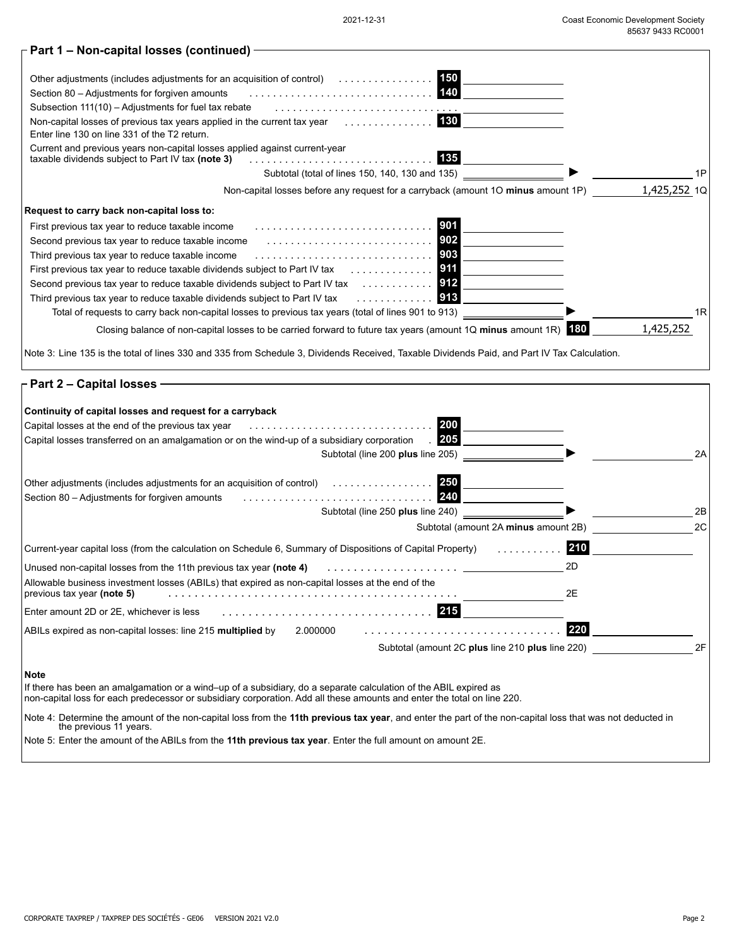| Part 1 - Non-capital losses (continued) -                                                                                                                                                                                                           |                                                                                   |     |              |
|-----------------------------------------------------------------------------------------------------------------------------------------------------------------------------------------------------------------------------------------------------|-----------------------------------------------------------------------------------|-----|--------------|
| Other adjustments (includes adjustments for an acquisition of control)                                                                                                                                                                              | 150                                                                               |     |              |
| Section 80 - Adjustments for forgiven amounts                                                                                                                                                                                                       | 140                                                                               |     |              |
| Subsection 111(10) - Adjustments for fuel tax rebate                                                                                                                                                                                                |                                                                                   |     |              |
| Non-capital losses of previous tax years applied in the current tax year $\ldots \ldots \ldots \ldots$<br>Enter line 130 on line 331 of the T2 return.                                                                                              | 130                                                                               |     |              |
| Current and previous years non-capital losses applied against current-year<br>taxable dividends subject to Part IV tax (note 3)                                                                                                                     | 135                                                                               |     |              |
|                                                                                                                                                                                                                                                     | Subtotal (total of lines 150, 140, 130 and 135)                                   |     | 1P           |
|                                                                                                                                                                                                                                                     | Non-capital losses before any request for a carryback (amount 10 minus amount 1P) |     | 1,425,252 1Q |
| Request to carry back non-capital loss to:                                                                                                                                                                                                          |                                                                                   |     |              |
| First previous tax year to reduce taxable income                                                                                                                                                                                                    | 901                                                                               |     |              |
| Second previous tax year to reduce taxable income                                                                                                                                                                                                   |                                                                                   |     |              |
|                                                                                                                                                                                                                                                     |                                                                                   |     |              |
| Third previous tax year to reduce taxable income                                                                                                                                                                                                    |                                                                                   |     |              |
|                                                                                                                                                                                                                                                     |                                                                                   |     |              |
|                                                                                                                                                                                                                                                     |                                                                                   |     |              |
| Third previous tax year to reduce taxable dividends subject to Part IV tax                                                                                                                                                                          | . 913                                                                             |     |              |
| Total of requests to carry back non-capital losses to previous tax years (total of lines 901 to 913)                                                                                                                                                |                                                                                   |     | 1R           |
| Closing balance of non-capital losses to be carried forward to future tax years (amount 1Q minus amount 1R) $180$                                                                                                                                   |                                                                                   |     | 1,425,252    |
| Note 3: Line 135 is the total of lines 330 and 335 from Schedule 3, Dividends Received, Taxable Dividends Paid, and Part IV Tax Calculation.                                                                                                        |                                                                                   |     |              |
| Continuity of capital losses and request for a carryback<br>Capital losses at the end of the previous tax year<br>Capital losses transferred on an amalgamation or on the wind-up of a subsidiary corporation                                       | 200<br>205<br>Subtotal (line 200 plus line 205)                                   |     | 2A           |
|                                                                                                                                                                                                                                                     | 250                                                                               |     |              |
| Other adjustments (includes adjustments for an acquisition of control)                                                                                                                                                                              | 240                                                                               |     |              |
| Section 80 - Adjustments for forgiven amounts                                                                                                                                                                                                       |                                                                                   |     |              |
|                                                                                                                                                                                                                                                     | Subtotal (line 250 plus line 240)                                                 |     | 2B           |
|                                                                                                                                                                                                                                                     | Subtotal (amount 2A minus amount 2B)                                              |     | 2C           |
| Current-year capital loss (from the calculation on Schedule 6, Summary of Dispositions of Capital Property)                                                                                                                                         |                                                                                   | 210 |              |
| Unused non-capital losses from the 11th previous tax year (note 4)                                                                                                                                                                                  |                                                                                   | 2D  |              |
| Allowable business investment losses (ABILs) that expired as non-capital losses at the end of the                                                                                                                                                   |                                                                                   |     |              |
| previous tax year (note 5)                                                                                                                                                                                                                          |                                                                                   | 2Е  |              |
| Enter amount 2D or 2E, whichever is less                                                                                                                                                                                                            | 215                                                                               |     |              |
| ABILs expired as non-capital losses: line 215 multiplied by<br>2.000000                                                                                                                                                                             |                                                                                   | 220 |              |
|                                                                                                                                                                                                                                                     | Subtotal (amount 2C plus line 210 plus line 220)                                  |     | 2F           |
|                                                                                                                                                                                                                                                     |                                                                                   |     |              |
| Note<br>If there has been an amalgamation or a wind–up of a subsidiary, do a separate calculation of the ABIL expired as<br>non-capital loss for each predecessor or subsidiary corporation. Add all these amounts and enter the total on line 220. |                                                                                   |     |              |
| Note 4: Determine the amount of the non-capital loss from the 11th previous tax year, and enter the part of the non-capital loss that was not deducted in<br>the previous 11 years.                                                                 |                                                                                   |     |              |
| Note 5: Enter the amount of the ABILs from the 11th previous tax year. Enter the full amount on amount 2E.                                                                                                                                          |                                                                                   |     |              |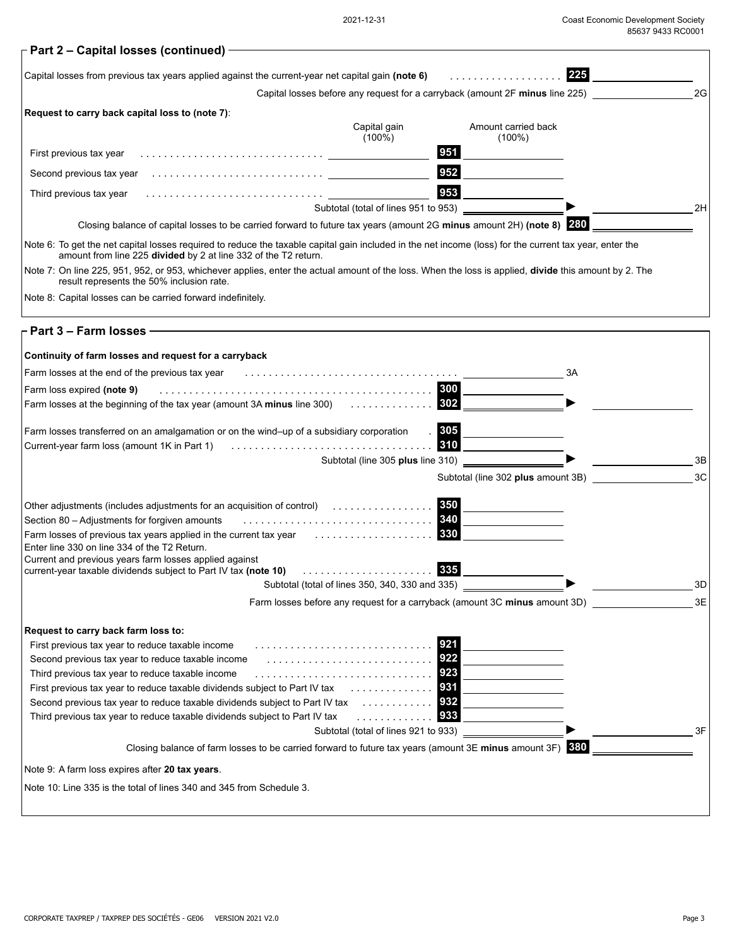| Capital losses from previous tax years applied against the current-year net capital gain (note 6)                                                                                                                          |                                                                              |            | . <b>.</b> .                       | 225 |    |
|----------------------------------------------------------------------------------------------------------------------------------------------------------------------------------------------------------------------------|------------------------------------------------------------------------------|------------|------------------------------------|-----|----|
|                                                                                                                                                                                                                            | Capital losses before any request for a carryback (amount 2F minus line 225) |            |                                    |     | 2G |
| Request to carry back capital loss to (note 7):                                                                                                                                                                            |                                                                              |            |                                    |     |    |
|                                                                                                                                                                                                                            | Capital gain                                                                 |            | Amount carried back                |     |    |
|                                                                                                                                                                                                                            | $(100\%)$                                                                    |            | $(100\%)$                          |     |    |
|                                                                                                                                                                                                                            |                                                                              | 951        |                                    |     |    |
|                                                                                                                                                                                                                            |                                                                              | 952        |                                    |     |    |
| Third previous tax year                                                                                                                                                                                                    |                                                                              | 953        |                                    |     |    |
|                                                                                                                                                                                                                            | Subtotal (total of lines 951 to 953) _                                       |            |                                    |     | 2H |
| Closing balance of capital losses to be carried forward to future tax years (amount 2G minus amount 2H) (note 8) 280                                                                                                       |                                                                              |            |                                    |     |    |
| Note 6: To get the net capital losses required to reduce the taxable capital gain included in the net income (loss) for the current tax year, enter the<br>amount from line 225 divided by 2 at line 332 of the T2 return. |                                                                              |            |                                    |     |    |
| Note 7: On line 225, 951, 952, or 953, whichever applies, enter the actual amount of the loss. When the loss is applied, divide this amount by 2. The<br>result represents the 50% inclusion rate.                         |                                                                              |            |                                    |     |    |
| Note 8: Capital losses can be carried forward indefinitely.                                                                                                                                                                |                                                                              |            |                                    |     |    |
| Part 3 - Farm losses -                                                                                                                                                                                                     |                                                                              |            |                                    |     |    |
| Continuity of farm losses and request for a carryback                                                                                                                                                                      |                                                                              |            |                                    |     |    |
| Farm losses at the end of the previous tax year                                                                                                                                                                            |                                                                              |            |                                    | 3A  |    |
| Farm loss expired (note 9)                                                                                                                                                                                                 |                                                                              |            |                                    |     |    |
| Farm losses at the beginning of the tax year (amount 3A minus line 300)                                                                                                                                                    |                                                                              | 302        |                                    |     |    |
|                                                                                                                                                                                                                            |                                                                              |            |                                    |     |    |
| Farm losses transferred on an amalgamation or on the wind-up of a subsidiary corporation                                                                                                                                   |                                                                              | 305<br>310 |                                    |     |    |
| Current-year farm loss (amount 1K in Part 1)                                                                                                                                                                               | Subtotal (line 305 plus line 310)                                            |            |                                    |     | 3B |
|                                                                                                                                                                                                                            |                                                                              |            |                                    |     | 3C |
|                                                                                                                                                                                                                            |                                                                              |            | Subtotal (line 302 plus amount 3B) |     |    |
|                                                                                                                                                                                                                            |                                                                              | 350        |                                    |     |    |
| Section 80 - Adjustments for forgiven amounts                                                                                                                                                                              |                                                                              | 340        |                                    |     |    |
| Farm losses of previous tax years applied in the current tax year                                                                                                                                                          |                                                                              | 330        |                                    |     |    |
| Enter line 330 on line 334 of the T2 Return.                                                                                                                                                                               |                                                                              |            |                                    |     |    |
| Current and previous years farm losses applied against<br>current-year taxable dividends subject to Part IV tax (note 10)                                                                                                  |                                                                              | 335        |                                    |     |    |
|                                                                                                                                                                                                                            | Subtotal (total of lines 350, 340, 330 and 335)                              |            |                                    |     | 3D |
|                                                                                                                                                                                                                            | Farm losses before any request for a carryback (amount 3C minus amount 3D)   |            |                                    |     | 3E |
|                                                                                                                                                                                                                            |                                                                              |            |                                    |     |    |
| Request to carry back farm loss to:                                                                                                                                                                                        |                                                                              |            |                                    |     |    |
| First previous tax year to reduce taxable income                                                                                                                                                                           |                                                                              | 921        |                                    |     |    |
| Second previous tax year to reduce taxable income                                                                                                                                                                          |                                                                              |            |                                    |     |    |
| Third previous tax year to reduce taxable income                                                                                                                                                                           |                                                                              |            |                                    |     |    |
|                                                                                                                                                                                                                            |                                                                              |            |                                    |     |    |
| Second previous tax year to reduce taxable dividends subject to Part IV tax $\ldots \ldots \ldots$                                                                                                                         |                                                                              |            |                                    |     |    |
| Third previous tax year to reduce taxable dividends subject to Part IV tax                                                                                                                                                 | .                                                                            | 933        |                                    |     |    |
|                                                                                                                                                                                                                            | Subtotal (total of lines 921 to 933) _                                       |            |                                    |     | 3F |
| Closing balance of farm losses to be carried forward to future tax years (amount $3E$ minus amount $3F$ ) $380$                                                                                                            |                                                                              |            |                                    |     |    |
| Note 9: A farm loss expires after 20 tax years.                                                                                                                                                                            |                                                                              |            |                                    |     |    |
|                                                                                                                                                                                                                            |                                                                              |            |                                    |     |    |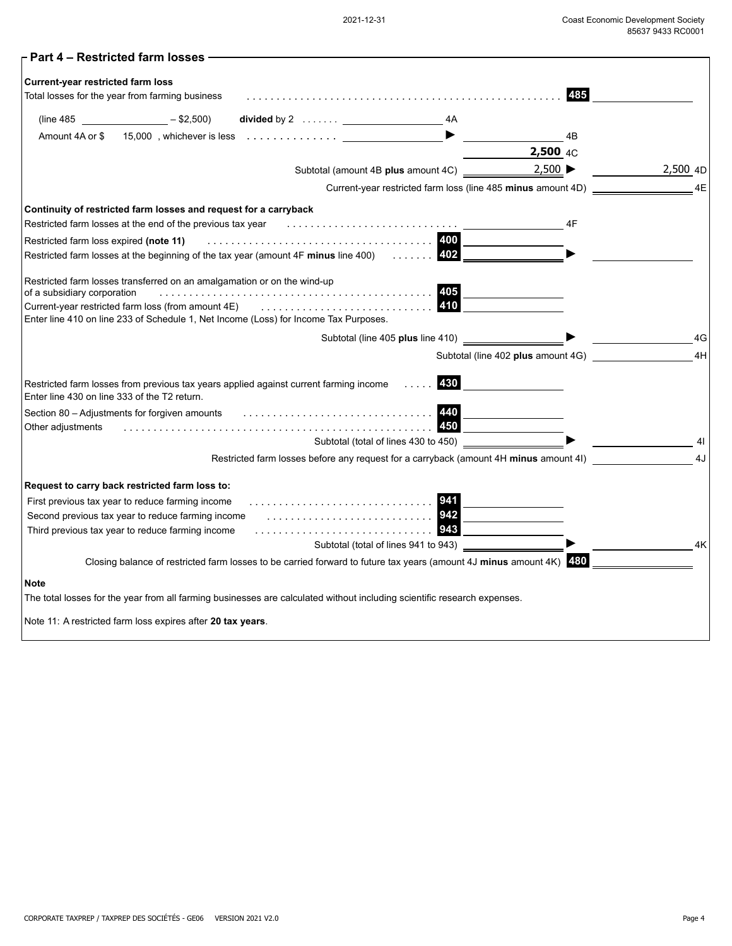| <b>Current-year restricted farm loss</b>                         |                                  |                                                                                                                     |                                                                                                                          |                                    |          |
|------------------------------------------------------------------|----------------------------------|---------------------------------------------------------------------------------------------------------------------|--------------------------------------------------------------------------------------------------------------------------|------------------------------------|----------|
| Total losses for the year from farming business                  |                                  |                                                                                                                     |                                                                                                                          | 485                                |          |
|                                                                  | $(\text{line } 485$ $-$ \$2,500) | divided by $2 \ldots \ldots \ldots$ 4A                                                                              |                                                                                                                          |                                    |          |
|                                                                  |                                  | Amount 4A or $\$\  \  \, 15,000\,$ , whichever is less $\;\;\ldots\ldots\ldots\ldots\ldots\;$                       |                                                                                                                          | 4B                                 |          |
|                                                                  |                                  |                                                                                                                     |                                                                                                                          | 2,500 <sub>4C</sub>                |          |
|                                                                  |                                  |                                                                                                                     | Subtotal (amount 4B plus amount 4C) <u>_____________________2,500</u>                                                    |                                    | 2,500 4D |
|                                                                  |                                  |                                                                                                                     | Current-year restricted farm loss (line 485 minus amount 4D) _                                                           |                                    | 4E       |
| Continuity of restricted farm losses and request for a carryback |                                  |                                                                                                                     |                                                                                                                          |                                    |          |
| Restricted farm losses at the end of the previous tax year       |                                  |                                                                                                                     |                                                                                                                          | 4F                                 |          |
| Restricted farm loss expired (note 11)                           |                                  |                                                                                                                     |                                                                                                                          |                                    |          |
|                                                                  |                                  | Restricted farm losses at the beginning of the tax year (amount 4F minus line 400)                                  | 402                                                                                                                      |                                    |          |
|                                                                  |                                  | Restricted farm losses transferred on an amalgamation or on the wind-up                                             |                                                                                                                          |                                    |          |
| of a subsidiary corporation                                      |                                  |                                                                                                                     | 405                                                                                                                      |                                    |          |
|                                                                  |                                  |                                                                                                                     | 410                                                                                                                      |                                    |          |
|                                                                  |                                  | Enter line 410 on line 233 of Schedule 1, Net Income (Loss) for Income Tax Purposes.                                |                                                                                                                          |                                    |          |
|                                                                  |                                  |                                                                                                                     |                                                                                                                          |                                    | 4G       |
|                                                                  |                                  |                                                                                                                     |                                                                                                                          | Subtotal (line 402 plus amount 4G) | 4H       |
|                                                                  |                                  | Restricted farm losses from previous tax years applied against current farming income                               | <b>430</b>                                                                                                               |                                    |          |
| Enter line 430 on line 333 of the T2 return.                     |                                  |                                                                                                                     |                                                                                                                          |                                    |          |
|                                                                  |                                  |                                                                                                                     | 440                                                                                                                      |                                    |          |
| Other adjustments                                                |                                  |                                                                                                                     | 450                                                                                                                      |                                    |          |
|                                                                  |                                  |                                                                                                                     | Subtotal (total of lines 430 to 450) _                                                                                   |                                    | 41       |
|                                                                  |                                  | Restricted farm losses before any request for a carryback (amount 4H minus amount 4I)                               |                                                                                                                          |                                    | 4J       |
| Request to carry back restricted farm loss to:                   |                                  |                                                                                                                     |                                                                                                                          |                                    |          |
| First previous tax year to reduce farming income                 |                                  |                                                                                                                     | 941                                                                                                                      |                                    |          |
| Second previous tax year to reduce farming income                |                                  |                                                                                                                     | 042                                                                                                                      |                                    |          |
| Third previous tax year to reduce farming income                 |                                  |                                                                                                                     | 943                                                                                                                      |                                    |          |
|                                                                  |                                  |                                                                                                                     | Subtotal (total of lines 941 to 943) ____________                                                                        |                                    | 4K       |
|                                                                  |                                  | Closing balance of restricted farm losses to be carried forward to future tax years (amount 4J minus amount 4K) 480 |                                                                                                                          |                                    |          |
| Note                                                             |                                  |                                                                                                                     | The total losses for the year from all farming businesses are calculated without including scientific research expenses. |                                    |          |
|                                                                  |                                  |                                                                                                                     |                                                                                                                          |                                    |          |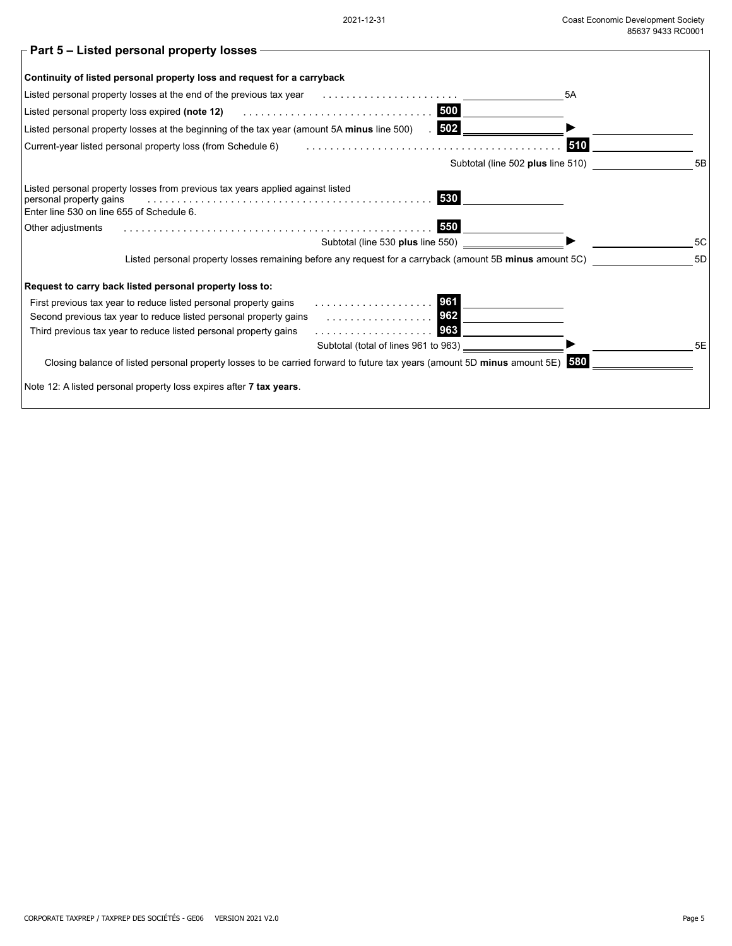| 2021-12-31 |
|------------|
|------------|

| $\mathop{\rule{0pt}{0.5pt}\raisebox{0pt}{\text{--}}}\,$ Part 5 – Listed personal property losses –                                                            |    |
|---------------------------------------------------------------------------------------------------------------------------------------------------------------|----|
| Continuity of listed personal property loss and request for a carryback                                                                                       |    |
| Listed personal property losses at the end of the previous tax year $\ldots \ldots \ldots \ldots \ldots \ldots$<br>5A                                         |    |
| 500<br>Listed personal property loss expired (note 12) Almarcondum contracts and contract the set of the set of the s                                         |    |
| 502<br>Listed personal property losses at the beginning of the tax year (amount 5A minus line 500)                                                            |    |
| 510<br>Current-year listed personal property loss (from Schedule 6)                                                                                           |    |
| Subtotal (line 502 plus line 510)                                                                                                                             | 5B |
| Listed personal property losses from previous tax years applied against listed<br>530<br>personal property gains<br>Enter line 530 on line 655 of Schedule 6. |    |
| 550<br>Other adjustments                                                                                                                                      |    |
| Subtotal (line 530 plus line 550) _                                                                                                                           | 5C |
| Listed personal property losses remaining before any request for a carryback (amount 5B minus amount 5C)                                                      | 5D |
| Request to carry back listed personal property loss to:                                                                                                       |    |
| First previous tax year to reduce listed personal property gains                                                                                              |    |
| Second previous tax year to reduce listed personal property gains                                                                                             |    |
| 963<br>Third previous tax year to reduce listed personal property gains                                                                                       |    |
| Subtotal (total of lines 961 to 963) _                                                                                                                        | 5E |
| Closing balance of listed personal property losses to be carried forward to future tax years (amount 5D minus amount 5E) 580                                  |    |
| Note 12: A listed personal property loss expires after 7 tax years.                                                                                           |    |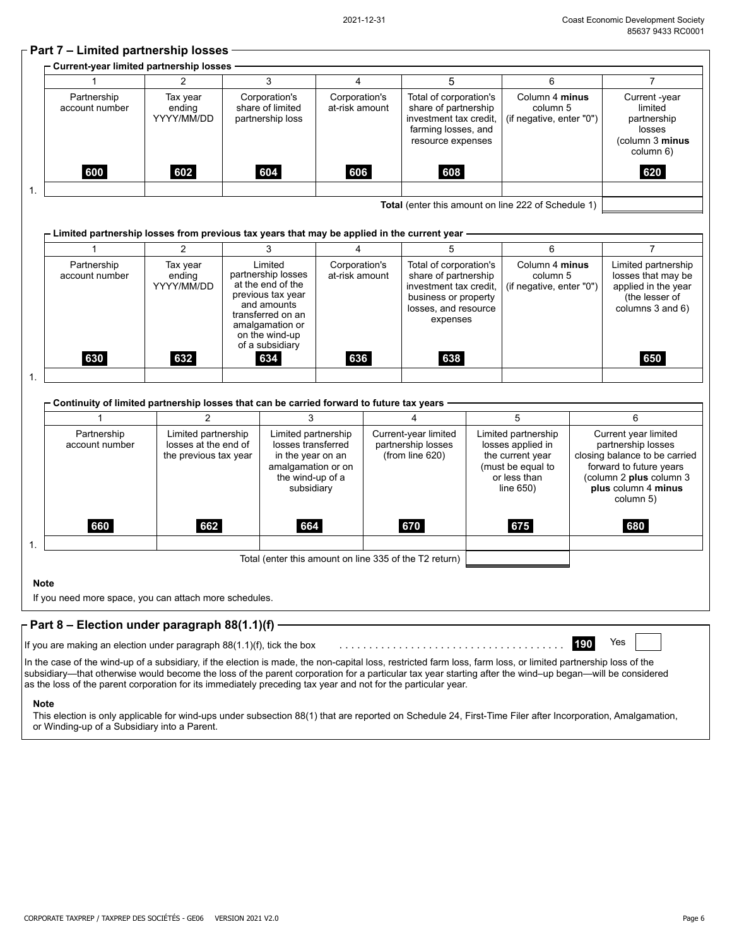|                                                                                              | $\overline{2}$                                                            | 3                                                                                                                                                                   | 4                               | 5                                                                                                                                    | 6                                                                                                                 |     | $\overline{7}$                                                                                                                                                        |  |
|----------------------------------------------------------------------------------------------|---------------------------------------------------------------------------|---------------------------------------------------------------------------------------------------------------------------------------------------------------------|---------------------------------|--------------------------------------------------------------------------------------------------------------------------------------|-------------------------------------------------------------------------------------------------------------------|-----|-----------------------------------------------------------------------------------------------------------------------------------------------------------------------|--|
| Partnership<br>account number                                                                | Tax year<br>ending<br>YYYY/MM/DD                                          | Corporation's<br>share of limited<br>partnership loss                                                                                                               | Corporation's<br>at-risk amount | Total of corporation's<br>share of partnership<br>investment tax credit,<br>farming losses, and<br>resource expenses                 | Column 4 minus<br>column 5<br>(if negative, enter "0")                                                            |     | Current -year<br>limited<br>partnership<br>losses<br>(column 3 minus<br>column 6)                                                                                     |  |
| 600                                                                                          | 602                                                                       | 604                                                                                                                                                                 | 606                             | 608                                                                                                                                  |                                                                                                                   |     | 620                                                                                                                                                                   |  |
|                                                                                              |                                                                           |                                                                                                                                                                     |                                 |                                                                                                                                      |                                                                                                                   |     |                                                                                                                                                                       |  |
|                                                                                              |                                                                           |                                                                                                                                                                     |                                 | Total (enter this amount on line 222 of Schedule 1)                                                                                  |                                                                                                                   |     |                                                                                                                                                                       |  |
| Limited partnership losses from previous tax years that may be applied in the current year - |                                                                           |                                                                                                                                                                     |                                 |                                                                                                                                      |                                                                                                                   |     |                                                                                                                                                                       |  |
| $\mathbf{1}$                                                                                 | 2                                                                         | 3                                                                                                                                                                   | 4                               | 5                                                                                                                                    | 6                                                                                                                 |     | $\overline{7}$                                                                                                                                                        |  |
| Partnership<br>account number                                                                | Tax year<br>ending<br>YYYY/MM/DD                                          | Limited<br>partnership losses<br>at the end of the<br>previous tax year<br>and amounts<br>transferred on an<br>amalgamation or<br>on the wind-up<br>of a subsidiary | Corporation's<br>at-risk amount | Total of corporation's<br>share of partnership<br>investment tax credit,<br>business or property<br>losses, and resource<br>expenses | Column 4 minus<br>column 5<br>(if negative, enter "0")                                                            |     | Limited partnership<br>losses that may be<br>applied in the year<br>(the lesser of<br>columns 3 and 6)                                                                |  |
| 630                                                                                          | 632                                                                       | 634                                                                                                                                                                 | 636                             | 638                                                                                                                                  |                                                                                                                   |     | 650                                                                                                                                                                   |  |
|                                                                                              |                                                                           |                                                                                                                                                                     |                                 |                                                                                                                                      |                                                                                                                   |     |                                                                                                                                                                       |  |
| Continuity of limited partnership losses that can be carried forward to future tax years     |                                                                           |                                                                                                                                                                     |                                 |                                                                                                                                      |                                                                                                                   |     |                                                                                                                                                                       |  |
| $\mathbf 1$                                                                                  | 2                                                                         | 3                                                                                                                                                                   |                                 | 4                                                                                                                                    | 5                                                                                                                 |     | 6                                                                                                                                                                     |  |
| Partnership<br>account number                                                                | Limited partnership<br>losses at the end of<br>the previous tax year      | Limited partnership<br>losses transferred<br>in the year on an<br>amalgamation or on<br>the wind-up of a<br>subsidiary                                              |                                 | Current-year limited<br>partnership losses<br>(from line 620)                                                                        | Limited partnership<br>losses applied in<br>the current year<br>(must be equal to<br>or less than<br>line $650$ ) |     | Current year limited<br>partnership losses<br>closing balance to be carried<br>forward to future years<br>(column 2 plus column 3<br>plus column 4 minus<br>column 5) |  |
| 660                                                                                          | 662                                                                       | 664                                                                                                                                                                 |                                 | 670                                                                                                                                  | 675                                                                                                               |     | 680                                                                                                                                                                   |  |
|                                                                                              |                                                                           |                                                                                                                                                                     |                                 |                                                                                                                                      |                                                                                                                   |     |                                                                                                                                                                       |  |
|                                                                                              |                                                                           |                                                                                                                                                                     |                                 | Total (enter this amount on line 335 of the T2 return)                                                                               |                                                                                                                   |     |                                                                                                                                                                       |  |
| Note<br>If you need more space, you can attach more schedules.                               |                                                                           |                                                                                                                                                                     |                                 |                                                                                                                                      |                                                                                                                   |     |                                                                                                                                                                       |  |
| - Part 8 – Election under paragraph 88(1.1)(f)                                               |                                                                           |                                                                                                                                                                     |                                 |                                                                                                                                      |                                                                                                                   |     |                                                                                                                                                                       |  |
|                                                                                              | If you are making an election under paragraph $88(1.1)(f)$ , tick the box |                                                                                                                                                                     |                                 |                                                                                                                                      |                                                                                                                   | 190 | Yes                                                                                                                                                                   |  |
|                                                                                              |                                                                           |                                                                                                                                                                     |                                 |                                                                                                                                      |                                                                                                                   |     |                                                                                                                                                                       |  |

#### **Note**

This election is only applicable for wind-ups under subsection 88(1) that are reported on Schedule 24, First-Time Filer after Incorporation, Amalgamation, or Winding-up of a Subsidiary into a Parent.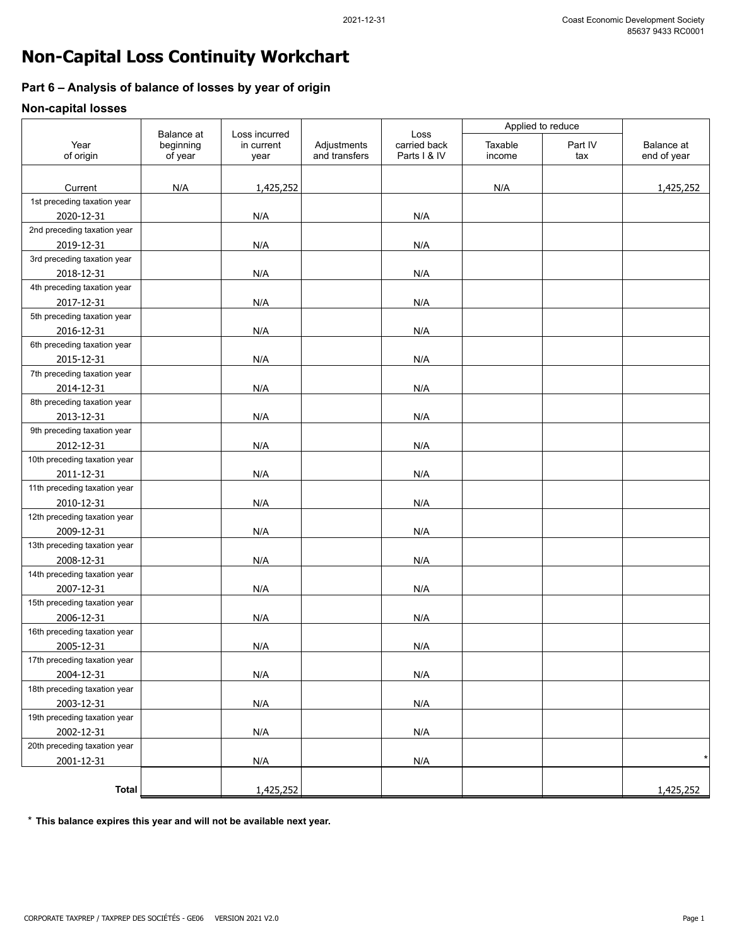# **Non-Capital Loss Continuity Workchart**

#### **Part 6 – Analysis of balance of losses by year of origin**

#### **Non-capital losses**

|                                            | Balance at           | Loss incurred      |                              |                                      |                   | Applied to reduce |                           |
|--------------------------------------------|----------------------|--------------------|------------------------------|--------------------------------------|-------------------|-------------------|---------------------------|
| Year<br>of origin                          | beginning<br>of year | in current<br>year | Adjustments<br>and transfers | Loss<br>carried back<br>Parts I & IV | Taxable<br>income | Part IV<br>tax    | Balance at<br>end of year |
|                                            |                      |                    |                              |                                      |                   |                   |                           |
| Current                                    | N/A                  | 1,425,252          |                              |                                      | N/A               |                   | 1,425,252                 |
| 1st preceding taxation year                |                      |                    |                              |                                      |                   |                   |                           |
| 2020-12-31                                 |                      | N/A                |                              | N/A                                  |                   |                   |                           |
| 2nd preceding taxation year                |                      |                    |                              |                                      |                   |                   |                           |
| 2019-12-31                                 |                      | N/A                |                              | N/A                                  |                   |                   |                           |
| 3rd preceding taxation year                |                      |                    |                              |                                      |                   |                   |                           |
| 2018-12-31                                 |                      | N/A                |                              | N/A                                  |                   |                   |                           |
| 4th preceding taxation year                |                      |                    |                              |                                      |                   |                   |                           |
| 2017-12-31                                 |                      | N/A                |                              | N/A                                  |                   |                   |                           |
| 5th preceding taxation year<br>2016-12-31  |                      | N/A                |                              | N/A                                  |                   |                   |                           |
| 6th preceding taxation year                |                      |                    |                              |                                      |                   |                   |                           |
| 2015-12-31                                 |                      | N/A                |                              | N/A                                  |                   |                   |                           |
| 7th preceding taxation year                |                      |                    |                              |                                      |                   |                   |                           |
| 2014-12-31                                 |                      | N/A                |                              | N/A                                  |                   |                   |                           |
| 8th preceding taxation year                |                      |                    |                              |                                      |                   |                   |                           |
| 2013-12-31                                 |                      | N/A                |                              | N/A                                  |                   |                   |                           |
| 9th preceding taxation year                |                      |                    |                              |                                      |                   |                   |                           |
| 2012-12-31                                 |                      | N/A                |                              | N/A                                  |                   |                   |                           |
| 10th preceding taxation year               |                      |                    |                              |                                      |                   |                   |                           |
| 2011-12-31                                 |                      | N/A                |                              | N/A                                  |                   |                   |                           |
| 11th preceding taxation year               |                      |                    |                              |                                      |                   |                   |                           |
| 2010-12-31                                 |                      | N/A                |                              | N/A                                  |                   |                   |                           |
| 12th preceding taxation year               |                      |                    |                              |                                      |                   |                   |                           |
| 2009-12-31                                 |                      | N/A                |                              | N/A                                  |                   |                   |                           |
| 13th preceding taxation year               |                      |                    |                              |                                      |                   |                   |                           |
| 2008-12-31                                 |                      | N/A                |                              | N/A                                  |                   |                   |                           |
| 14th preceding taxation year               |                      |                    |                              |                                      |                   |                   |                           |
| 2007-12-31                                 |                      | N/A                |                              | N/A                                  |                   |                   |                           |
| 15th preceding taxation year<br>2006-12-31 |                      | N/A                |                              | N/A                                  |                   |                   |                           |
| 16th preceding taxation year               |                      |                    |                              |                                      |                   |                   |                           |
| 2005-12-31                                 |                      | N/A                |                              | N/A                                  |                   |                   |                           |
| 17th preceding taxation year               |                      |                    |                              |                                      |                   |                   |                           |
| 2004-12-31                                 |                      | N/A                |                              | N/A                                  |                   |                   |                           |
| 18th preceding taxation year               |                      |                    |                              |                                      |                   |                   |                           |
| 2003-12-31                                 |                      | N/A                |                              | N/A                                  |                   |                   |                           |
| 19th preceding taxation year               |                      |                    |                              |                                      |                   |                   |                           |
| 2002-12-31                                 |                      | N/A                |                              | N/A                                  |                   |                   |                           |
| 20th preceding taxation year               |                      |                    |                              |                                      |                   |                   |                           |
| 2001-12-31                                 |                      | N/A                |                              | N/A                                  |                   |                   |                           |
|                                            |                      |                    |                              |                                      |                   |                   |                           |
| <b>Total</b>                               |                      | 1,425,252          |                              |                                      |                   |                   | 1,425,252                 |

\* **This balance expires this year and will not be available next year.**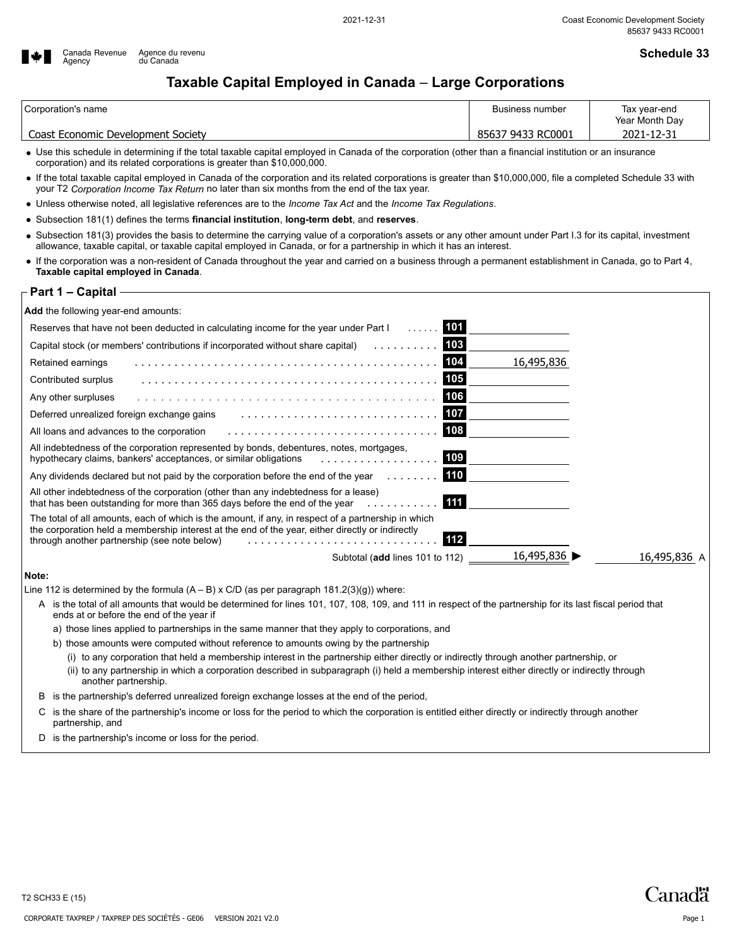# **Example 33**<br>■  $\bullet$  **Schedule 33**<br>Agency du Canada

### **Taxable Capital Employed in Canada** – **Large Corporations**

| Corporation's name                 | Business number   | Tax year-end<br>Year Month Day |
|------------------------------------|-------------------|--------------------------------|
| Coast Economic Development Society | 85637 9433 RC0001 | 2021-12-31                     |

Use this schedule in determining if the total taxable capital employed in Canada of the corporation (other than a financial institution or an insurance corporation) and its related corporations is greater than \$10,000,000.

If the total taxable capital employed in Canada of the corporation and its related corporations is greater than \$10,000,000, file a completed Schedule 33 with your T2 *Corporation Income Tax Return* no later than six months from the end of the tax year.

Unless otherwise noted, all legislative references are to the *Income Tax Act* and the *Income Tax Regulations*.

- Subsection 181(1) defines the terms **financial institution**, **long-term debt**, and **reserves**.
- Subsection 181(3) provides the basis to determine the carrying value of a corporation's assets or any other amount under Part I.3 for its capital, investment allowance, taxable capital, or taxable capital employed in Canada, or for a partnership in which it has an interest.
- If the corporation was a non-resident of Canada throughout the year and carried on a business through a permanent establishment in Canada, go to Part 4, **Taxable capital employed in Canada**.

#### **Part 1 – Capital**

| <b>Add</b> the following year-end amounts:                                                                                                                                                                                                                     |  |
|----------------------------------------------------------------------------------------------------------------------------------------------------------------------------------------------------------------------------------------------------------------|--|
| 101<br>Reserves that have not been deducted in calculating income for the year under Part I                                                                                                                                                                    |  |
| 103<br>Capital stock (or members' contributions if incorporated without share capital)<br>.                                                                                                                                                                    |  |
| 104<br>16,495,836<br>Retained earnings                                                                                                                                                                                                                         |  |
| 105<br>Contributed surplus                                                                                                                                                                                                                                     |  |
| 106<br>Any other surpluses                                                                                                                                                                                                                                     |  |
| 107<br>Deferred unrealized foreign exchange gains                                                                                                                                                                                                              |  |
| 108<br>All loans and advances to the corporation                                                                                                                                                                                                               |  |
| All indebtedness of the corporation represented by bonds, debentures, notes, mortgages,<br>109<br>hypothecary claims, bankers' acceptances, or similar obligations<br>.                                                                                        |  |
| 110<br>Any dividends declared but not paid by the corporation before the end of the year<br>$\mathcal{L}$ . The set of the set of $\mathcal{L}$                                                                                                                |  |
| All other indebtedness of the corporation (other than any indebtedness for a lease)<br>111<br>that has been outstanding for more than 365 days before the end of the year $\ldots \ldots \ldots$                                                               |  |
| The total of all amounts, each of which is the amount, if any, in respect of a partnership in which<br>the corporation held a membership interest at the end of the year, either directly or indirectly<br>112<br>through another partnership (see note below) |  |
| 16,495,836 ▶<br>16,495,836<br>Subtotal (add lines 101 to 112)                                                                                                                                                                                                  |  |

#### **Note:**

Line 112 is determined by the formula  $(A - B) \times C/D$  (as per paragraph 181.2(3)(g)) where:

- A is the total of all amounts that would be determined for lines 101, 107, 108, 109, and 111 in respect of the partnership for its last fiscal period that ends at or before the end of the year if
	- a) those lines applied to partnerships in the same manner that they apply to corporations, and
	- b) those amounts were computed without reference to amounts owing by the partnership

(i) to any corporation that held a membership interest in the partnership either directly or indirectly through another partnership, or (ii) to any partnership in which a corporation described in subparagraph (i) held a membership interest either directly or indirectly through another partnership.

B is the partnership's deferred unrealized foreign exchange losses at the end of the period,

C is the share of the partnership's income or loss for the period to which the corporation is entitled either directly or indirectly through another partnership, and

D is the partnership's income or loss for the period.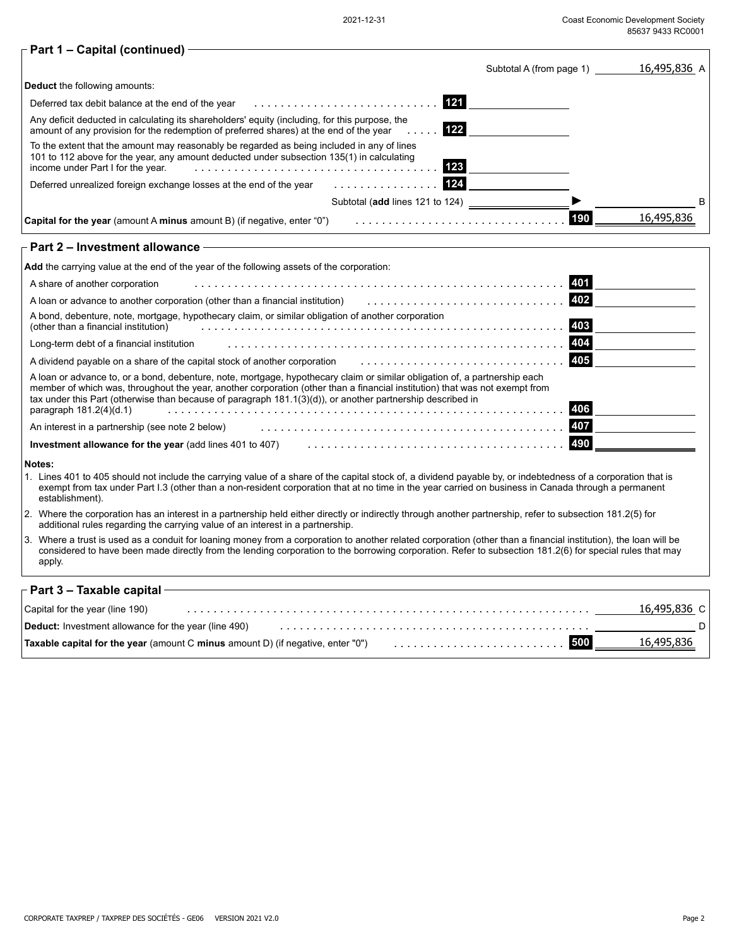#### **Part 1 – Capital (continued)**

|                                                                                                                                                                                                                                     | Subtotal A (from page 1) | 16,495,836 A |
|-------------------------------------------------------------------------------------------------------------------------------------------------------------------------------------------------------------------------------------|--------------------------|--------------|
| <b>Deduct</b> the following amounts:                                                                                                                                                                                                |                          |              |
| 121<br>Deferred tax debit balance at the end of the year                                                                                                                                                                            |                          |              |
| Any deficit deducted in calculating its shareholders' equity (including, for this purpose, the<br>122<br>amount of any provision for the redemption of preferred shares) at the end of the year                                     |                          |              |
| To the extent that the amount may reasonably be regarded as being included in any of lines<br>101 to 112 above for the year, any amount deducted under subsection 135(1) in calculating<br>123<br>income under Part I for the year. |                          |              |
| 124<br>Deferred unrealized foreign exchange losses at the end of the year<br>.                                                                                                                                                      |                          |              |
| Subtotal (add lines 121 to 124)                                                                                                                                                                                                     |                          | R            |
| <b>Capital for the year</b> (amount A minus amount B) (if negative, enter " $0$ ")                                                                                                                                                  | 190                      | 16.495.836   |

#### **Part 2 – Investment allowance**

| <b>Add</b> the carrying value at the end of the year of the following assets of the corporation:                                                                                                                                                                                                                                                                                                          |
|-----------------------------------------------------------------------------------------------------------------------------------------------------------------------------------------------------------------------------------------------------------------------------------------------------------------------------------------------------------------------------------------------------------|
| 401<br>A share of another corporation                                                                                                                                                                                                                                                                                                                                                                     |
| 402<br>A loan or advance to another corporation (other than a financial institution) Fig. All $\alpha$ , $\beta$ , $\beta$ , $\beta$ , $\beta$ , $\beta$ , $\beta$ , $\beta$ , $\beta$ , $\beta$ , $\beta$ , $\beta$ , $\beta$ , $\beta$ , $\beta$ , $\beta$ , $\beta$ , $\beta$ , $\beta$ , $\beta$ , $\beta$ , $\beta$ , $\beta$                                                                        |
| A bond, debenture, note, mortgage, hypothecary claim, or similar obligation of another corporation<br>403<br>(other than a financial institution)                                                                                                                                                                                                                                                         |
| 404<br>Long-term debt of a financial institution                                                                                                                                                                                                                                                                                                                                                          |
| 405<br>A dividend payable on a share of the capital stock of another corporation                                                                                                                                                                                                                                                                                                                          |
| A loan or advance to, or a bond, debenture, note, mortgage, hypothecary claim or similar obligation of, a partnership each<br>member of which was, throughout the year, another corporation (other than a financial institution) that was not exempt from<br>tax under this Part (otherwise than because of paragraph 181.1(3)(d)), or another partnership described in<br>406<br>paragraph 181.2(4)(d.1) |
| 407<br>An interest in a partnership (see note 2 below)                                                                                                                                                                                                                                                                                                                                                    |
| 490<br>Investment allowance for the year (add lines 401 to 407)                                                                                                                                                                                                                                                                                                                                           |
| Notes:                                                                                                                                                                                                                                                                                                                                                                                                    |
| 1. Lines 401 to 405 should not include the carrying value of a share of the capital stock of, a dividend payable by, or indebtedness of a corporation that is<br>exempt from tax under Part I.3 (other than a non-resident corporation that at no time in the year carried on business in Canada through a permanent<br>establishment).                                                                   |
| 2. Where the corporation has an interest in a partnership held either directly or indirectly through another partnership, refer to subsection 181.2(5) for<br>additional rules regarding the carrying value of an interest in a partnership.                                                                                                                                                              |
| 3. Where a trust is used as a conduit for loaning money from a corporation to another related corporation (other than a financial institution), the loan will be<br>considered to have been made directly from the lending corporation to the borrowing corporation. Refer to subsection 181.2(6) for special rules that may<br>apply.                                                                    |
|                                                                                                                                                                                                                                                                                                                                                                                                           |

| $\mathop{\sqsubset}$ Part 3 – Taxable capital –                                                                                                  |              |
|--------------------------------------------------------------------------------------------------------------------------------------------------|--------------|
| Capital for the year (line 190)                                                                                                                  | 16,495,836 ( |
| Deduct: Investment allowance for the year (line 490)                                                                                             |              |
| <b>Taxable capital for the year</b> (amount C minus amount D) (if negative, enter "0") $\ldots \ldots \ldots \ldots \ldots \ldots \ldots \ldots$ | 16,495,836   |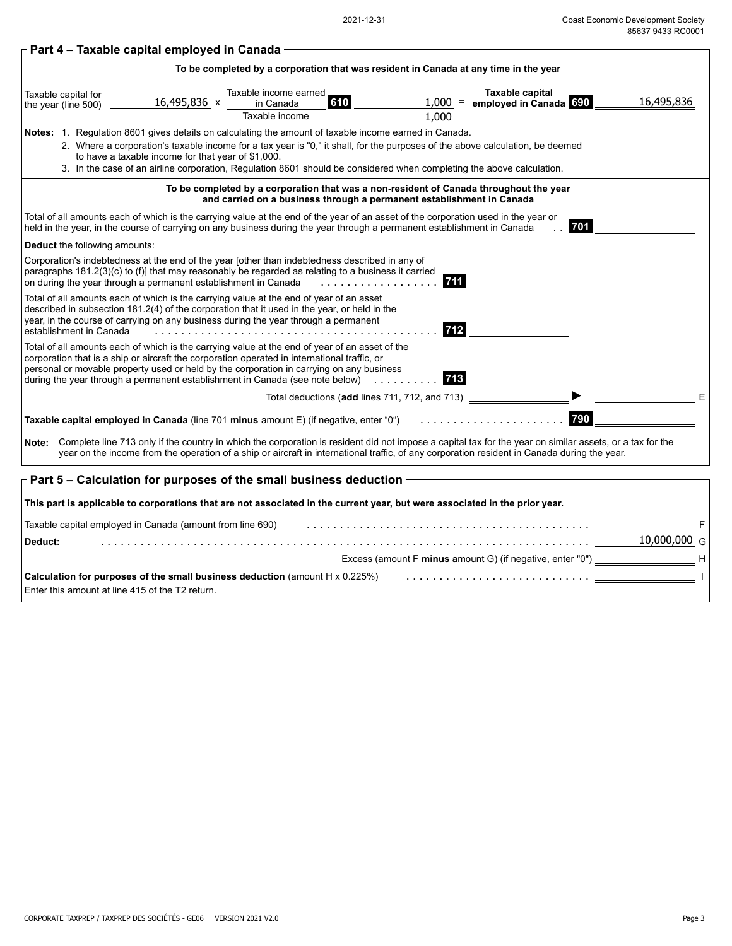|                                                                |                                                    |                                                                                                                                                                                                                                                                                                                                                                            | To be completed by a corporation that was resident in Canada at any time in the year                                                                                                                                                                                                                     |  |
|----------------------------------------------------------------|----------------------------------------------------|----------------------------------------------------------------------------------------------------------------------------------------------------------------------------------------------------------------------------------------------------------------------------------------------------------------------------------------------------------------------------|----------------------------------------------------------------------------------------------------------------------------------------------------------------------------------------------------------------------------------------------------------------------------------------------------------|--|
| Taxable capital for<br>the year (line 500)                     | 16,495,836 x                                       | Taxable income earned<br>610<br>in Canada<br>Taxable income                                                                                                                                                                                                                                                                                                                | Taxable capital<br>16,495,836<br>$1,000 =$ employed in Canada 690<br>1,000                                                                                                                                                                                                                               |  |
|                                                                | to have a taxable income for that year of \$1,000. | Notes: 1. Regulation 8601 gives details on calculating the amount of taxable income earned in Canada.                                                                                                                                                                                                                                                                      | 2. Where a corporation's taxable income for a tax year is "0," it shall, for the purposes of the above calculation, be deemed<br>3. In the case of an airline corporation, Regulation 8601 should be considered when completing the above calculation.                                                   |  |
|                                                                |                                                    | and carried on a business through a permanent establishment in Canada                                                                                                                                                                                                                                                                                                      | To be completed by a corporation that was a non-resident of Canada throughout the year                                                                                                                                                                                                                   |  |
|                                                                |                                                    | held in the year, in the course of carrying on any business during the year through a permanent establishment in Canada                                                                                                                                                                                                                                                    | Total of all amounts each of which is the carrying value at the end of the year of an asset of the corporation used in the year or<br>701                                                                                                                                                                |  |
| <b>Deduct</b> the following amounts:                           |                                                    |                                                                                                                                                                                                                                                                                                                                                                            |                                                                                                                                                                                                                                                                                                          |  |
| on during the year through a permanent establishment in Canada |                                                    | Corporation's indebtedness at the end of the year [other than indebtedness described in any of<br>paragraphs 181.2(3)(c) to (f)] that may reasonably be regarded as relating to a business it carried<br>.                                                                                                                                                                 | 711                                                                                                                                                                                                                                                                                                      |  |
| establishment in Canada                                        |                                                    | Total of all amounts each of which is the carrying value at the end of year of an asset<br>described in subsection 181.2(4) of the corporation that it used in the year, or held in the<br>year, in the course of carrying on any business during the year through a permanent                                                                                             | 712                                                                                                                                                                                                                                                                                                      |  |
|                                                                |                                                    | Total of all amounts each of which is the carrying value at the end of year of an asset of the<br>corporation that is a ship or aircraft the corporation operated in international traffic, or<br>personal or movable property used or held by the corporation in carrying on any business<br>during the year through a permanent establishment in Canada (see note below) | 713                                                                                                                                                                                                                                                                                                      |  |
|                                                                |                                                    |                                                                                                                                                                                                                                                                                                                                                                            | Total deductions (add lines 711, 712, and 713) _____________                                                                                                                                                                                                                                             |  |
|                                                                |                                                    | Taxable capital employed in Canada (line 701 minus amount E) (if negative, enter "0")                                                                                                                                                                                                                                                                                      | 790                                                                                                                                                                                                                                                                                                      |  |
| Note:                                                          |                                                    |                                                                                                                                                                                                                                                                                                                                                                            | Complete line 713 only if the country in which the corporation is resident did not impose a capital tax for the year on similar assets, or a tax for the<br>year on the income from the operation of a ship or aircraft in international traffic, of any corporation resident in Canada during the year. |  |
|                                                                |                                                    | Part 5 - Calculation for purposes of the small business deduction -                                                                                                                                                                                                                                                                                                        |                                                                                                                                                                                                                                                                                                          |  |
|                                                                |                                                    |                                                                                                                                                                                                                                                                                                                                                                            | This part is applicable to corporations that are not associated in the current year, but were associated in the prior year.                                                                                                                                                                              |  |
| Taxable capital employed in Canada (amount from line 690)      |                                                    |                                                                                                                                                                                                                                                                                                                                                                            |                                                                                                                                                                                                                                                                                                          |  |
| Deduct:                                                        |                                                    |                                                                                                                                                                                                                                                                                                                                                                            | 10,000,000 G                                                                                                                                                                                                                                                                                             |  |
|                                                                |                                                    |                                                                                                                                                                                                                                                                                                                                                                            | Excess (amount F minus amount G) (if negative, enter "0") ______________________                                                                                                                                                                                                                         |  |
|                                                                |                                                    | Calculation for purposes of the small business deduction (amount $H \times 0.225\%)$                                                                                                                                                                                                                                                                                       |                                                                                                                                                                                                                                                                                                          |  |

Enter this amount at line 415 of the T2 return.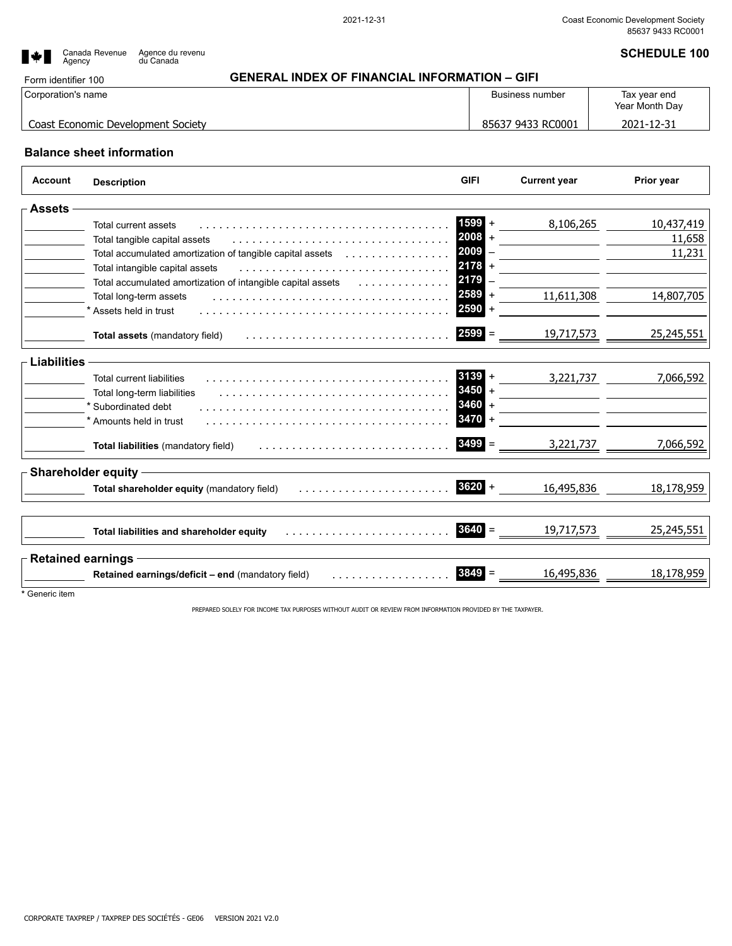| ▌┿┃                | Canada Revenue<br>Agency | Agence du revenu<br>du Canada      |                                                      |                   | <b>SCHEDULE 100</b> |
|--------------------|--------------------------|------------------------------------|------------------------------------------------------|-------------------|---------------------|
|                    | Form identifier 100      |                                    | <b>GENERAL INDEX OF FINANCIAL INFORMATION - GIFI</b> |                   |                     |
| Corporation's name |                          | Business number                    | Tax year end<br>Year Month Day                       |                   |                     |
|                    |                          | Coast Economic Development Society |                                                      | 85637 9433 RC0001 | 2021-12-31          |

#### **Balance sheet information**

| <b>Account</b>     | <b>Description</b>                                                           | <b>GIFI</b>      | <b>Current year</b> | Prior year |
|--------------------|------------------------------------------------------------------------------|------------------|---------------------|------------|
| <b>Assets</b>      |                                                                              |                  |                     |            |
|                    | Total current assets                                                         | $1599 +$         | 8,106,265           | 10,437,419 |
|                    | Total tangible capital assets<br>dia dia dia 49.000 km amin'ny fivondronan-k | 2008             |                     | 11,658     |
|                    | Total accumulated amortization of tangible capital assets<br>.               | 2009             |                     | 11,231     |
|                    | Total intangible capital assets<br>.                                         | 2178             |                     |            |
|                    | Total accumulated amortization of intangible capital assets                  | 2179             |                     |            |
|                    | Total long-term assets<br>.                                                  | 2589             | 11,611,308          | 14,807,705 |
|                    | * Assets held in trust                                                       | 2590             |                     |            |
|                    | Total assets (mandatory field)                                               | 2599<br>$\equiv$ | 19,717,573          | 25,245,551 |
| <b>Liabilities</b> |                                                                              |                  |                     |            |
|                    | <b>Total current liabilities</b>                                             | $3139 +$         | 3,221,737           | 7,066,592  |
|                    | Total long-term liabilities                                                  | 3450             |                     |            |
|                    | * Subordinated debt                                                          | 3460             |                     |            |
|                    | * Amounts held in trust                                                      | 3470             |                     |            |
|                    | Total liabilities (mandatory field)                                          | $3499 =$         | 3,221,737           | 7,066,592  |
|                    | <b>Shareholder equity</b>                                                    |                  |                     |            |
|                    | Total shareholder equity (mandatory field)                                   | $3620 +$         | 16,495,836          | 18,178,959 |
|                    | Total liabilities and shareholder equity                                     | $3640 =$         | 19,717,573          | 25,245,551 |
|                    | <b>Retained earnings</b>                                                     |                  |                     |            |
|                    | Retained earnings/deficit - end (mandatory field)                            | 3849<br>$\equiv$ | 16,495,836          | 18,178,959 |

**\*** Generic item

PREPARED SOLELY FOR INCOME TAX PURPOSES WITHOUT AUDIT OR REVIEW FROM INFORMATION PROVIDED BY THE TAXPAYER.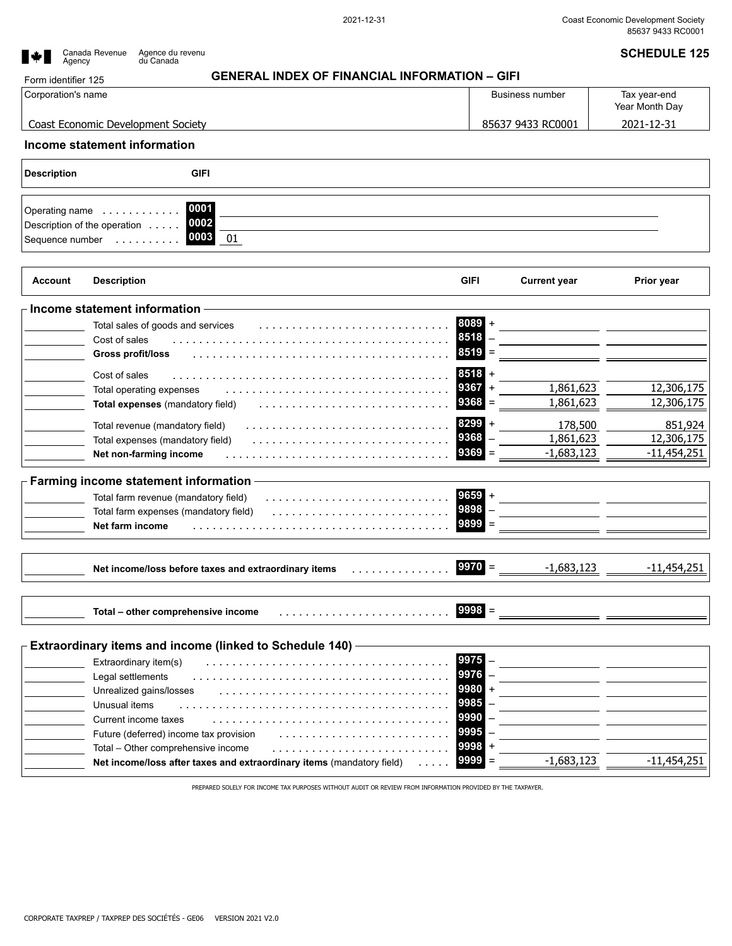| Form identifier 125               | <b>GENERAL INDEX OF FINANCIAL INFORMATION - GIFI</b>                         |                   |                        |                |
|-----------------------------------|------------------------------------------------------------------------------|-------------------|------------------------|----------------|
| Corporation's name                |                                                                              |                   | <b>Business number</b> | Tax year-end   |
|                                   |                                                                              |                   |                        | Year Month Day |
|                                   | Coast Economic Development Society                                           |                   | 85637 9433 RC0001      | 2021-12-31     |
|                                   | Income statement information                                                 |                   |                        |                |
| <b>Description</b>                | <b>GIFI</b>                                                                  |                   |                        |                |
| Operating name<br>Sequence number | 0001<br>.<br>0002<br>Description of the operation<br>0003<br>01<br>$\cdots$  |                   |                        |                |
| <b>Account</b>                    | <b>Description</b>                                                           | <b>GIFI</b>       | <b>Current year</b>    | Prior year     |
|                                   | Income statement information                                                 |                   |                        |                |
|                                   | Total sales of goods and services                                            | $8089 +$          |                        |                |
|                                   | Cost of sales                                                                | 8518              |                        |                |
|                                   | Gross profit/loss                                                            | 8519<br>$\equiv$  |                        |                |
|                                   | Cost of sales                                                                | $8518 -$          |                        |                |
|                                   | Total operating expenses                                                     | 9367<br>$\ddot{}$ | 1,861,623              | 12,306,175     |
|                                   | Total expenses (mandatory field)                                             | 9368<br>$\equiv$  | 1,861,623              | 12,306,175     |
|                                   | Total revenue (mandatory field)                                              | 8299<br>$\ddot{}$ | 178,500                | 851,924        |
|                                   | Total expenses (mandatory field)                                             | 9368              | 1,861,623              | 12,306,175     |
|                                   | Net non-farming income                                                       | 9369<br>Ξ         | $-1,683,123$           | $-11,454,251$  |
|                                   | Farming income statement information                                         |                   |                        |                |
|                                   | Total farm revenue (mandatory field)                                         | 9659<br>$\ddot{}$ |                        |                |
|                                   | Total farm expenses (mandatory field)                                        | 9898              |                        |                |
|                                   | Net farm income                                                              | 9899              |                        |                |
|                                   | Net income/loss before taxes and extraordinary items                         | $9970 =$          | $-1,683,123$           | $-11,454,251$  |
|                                   | Total - other comprehensive income                                           | $9998 =$          |                        |                |
|                                   |                                                                              |                   |                        |                |
|                                   | <b>Extraordinary items and income (linked to Schedule 140)</b>               | 9975              |                        |                |
|                                   | Extraordinary item(s)                                                        | 9976              |                        |                |
|                                   | Legal settlements                                                            | 9980              |                        |                |
|                                   | Unrealized gains/losses<br>Unusual items                                     | 9985              |                        |                |
|                                   |                                                                              | 9990              |                        |                |
|                                   |                                                                              |                   |                        |                |
|                                   | Current income taxes                                                         |                   |                        |                |
|                                   | Future (deferred) income tax provision<br>Total - Other comprehensive income | 9995<br>9998      |                        |                |

PREPARED SOLELY FOR INCOME TAX PURPOSES WITHOUT AUDIT OR REVIEW FROM INFORMATION PROVIDED BY THE TAXPAYER.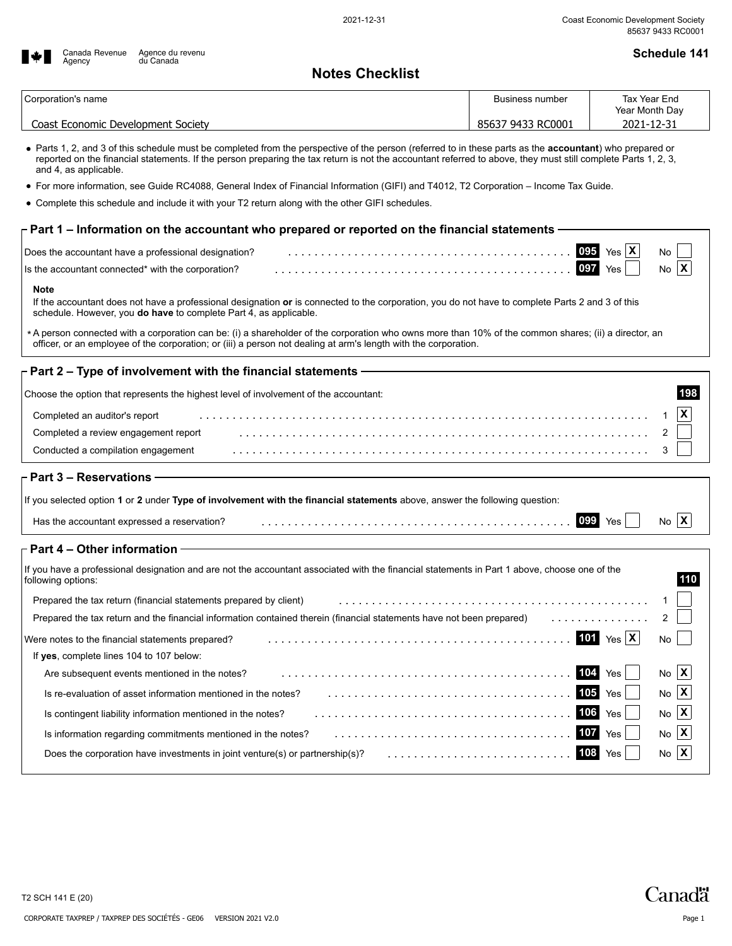# **Example 3 Schedule 141**<br>■ Agency du Canada Revenu du Canada en la canada en la canada en la canada en la canada en la canada en la cana<br>■ Agency du Canada en la canada en la canada en la canada en la canada en la canada

#### **Notes Checklist**

| Corporation's name                 | Business number   | Tax Year End   |
|------------------------------------|-------------------|----------------|
|                                    |                   | Year Month Day |
| Coast Economic Development Society | 85637 9433 RC0001 | 2021-12-31     |
|                                    |                   |                |

Parts 1, 2, and 3 of this schedule must be completed from the perspective of the person (referred to in these parts as the **accountant**) who prepared or reported on the financial statements. If the person preparing the tax return is not the accountant referred to above, they must still complete Parts 1, 2, 3, and 4, as applicable.

- For more information, see Guide RC4088, General Index of Financial Information (GIFI) and T4012, T2 Corporation Income Tax Guide.
- Complete this schedule and include it with your T2 return along with the other GIFI schedules.

#### $\mathop{\rule{0pt}{0pt}\text{--}}$  Part 1 – Information on the accountant who prepared or reported on the financial statements  $\cdot$

| Does the accountant have a professional designation? |  | No       |
|------------------------------------------------------|--|----------|
| Is the accountant connected* with the corporation?   |  | $No$ $X$ |

#### **Note**

If the accountant does not have a professional designation **or** is connected to the corporation, you do not have to complete Parts 2 and 3 of this schedule. However, you **do have** to complete Part 4, as applicable.

\*A person connected with a corporation can be: (i) a shareholder of the corporation who owns more than 10% of the common shares; (ii) a director, an officer, or an employee of the corporation; or (iii) a person not dealing at arm's length with the corporation.

#### **Part 2 – Type of involvement with the financial statements**

Choose the option that represents the highest level of involvement of the accountant: **198**

| Completed an auditor's report        |  |
|--------------------------------------|--|
| Completed a review engagement report |  |
| Conducted a compilation engagement   |  |

#### **Part 3 – Reservations**

| If you selected option 1 or 2 under Type of involvement with the financial statements above, answer the following question:                                         |  |
|---------------------------------------------------------------------------------------------------------------------------------------------------------------------|--|
| Has the accountant expressed a reservation?<br>Yes<br>No.                                                                                                           |  |
| $\Gamma$ Part 4 – Other information                                                                                                                                 |  |
| If you have a professional designation and are not the accountant associated with the financial statements in Part 1 above, choose one of the<br>following options: |  |
| Prepared the tax return (financial statements prepared by client)                                                                                                   |  |
| .<br>Prepared the tax return and the financial information contained therein (financial statements have not been prepared)                                          |  |
| Yes $ X $<br>  101<br>Were notes to the financial statements prepared?<br>No.                                                                                       |  |
| If yes, complete lines 104 to 107 below:                                                                                                                            |  |
| Are subsequent events mentioned in the notes?<br>Yes<br>N٥                                                                                                          |  |

Is re-evaluation of asset information mentioned in the notes?  $\ldots \ldots \ldots \ldots \ldots \ldots \ldots \ldots \ldots \ldots \ldots$ 

Is information regarding commitments mentioned in the notes? . . . . . . . . . . . . . . . . . . . . . . . . . . . . . . . . . . . . **107** Yes No Does the corporation have investments in joint venture(s) or partnership(s)? . . . . . . . . . . . . . . . . . . . . . . . . . . . . **108** Yes No

Is contingent liability information mentioned in the notes? **All and State Information** of the setting of the Settingent liability information mentioned in the notes? All and successive in the setting of the setting of the

 $N<sub>o</sub>$   $\mathbf{X}$ **X X X**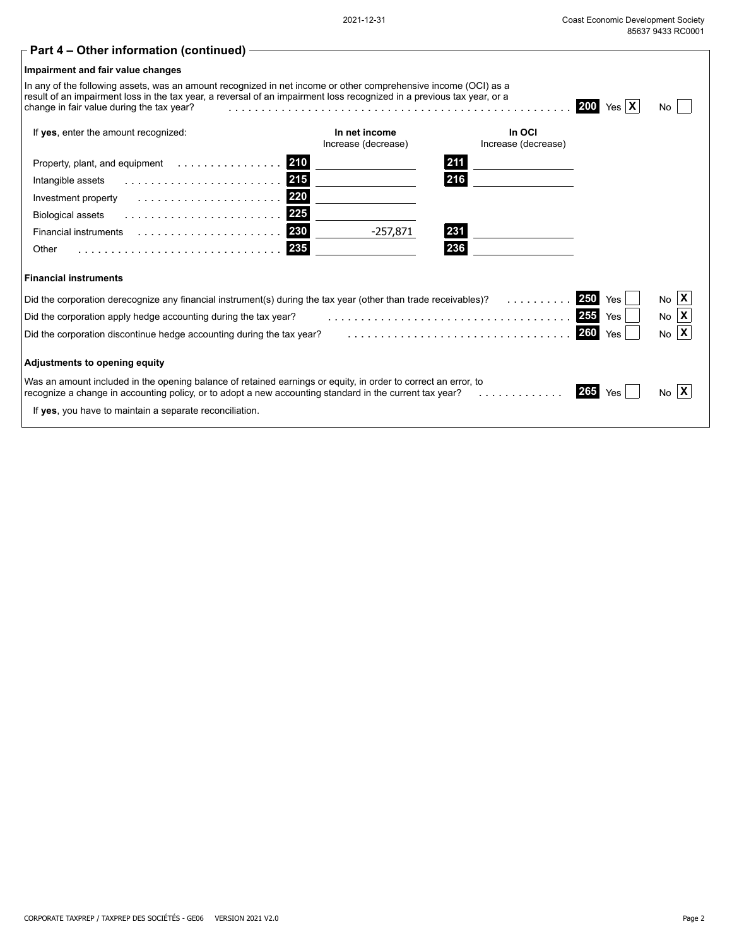#### **Part 4 – Other information (continued) Impairment and fair value changes** In any of the following assets, was an amount recognized in net income or other comprehensive income (OCI) as a result of an impairment loss in the tax year, a reversal of an impairment loss recognized in a previous tax year, or a<br>change in fair value during the tax year? change in fair value during the tax year? . . . . . . . . . . . . . . . . . . . . . . . . . . . . . . . . . . . . . . . . . . . . . . . . . . . . **200** Yes No If **yes**, enter the amount recognized: **In net income** Increase (decrease) **In OCI** Increase (decrease) **200**  $Y_{\text{es}}|X|$ Property, plant, and equipment . . . . . . . . . . . . . . . . **210 211** Intangible assets . . . . . . . . . . . . . . . . . . . . . . . . **215 216** Investment property . . . . . . . . . . . . . . . . . . . . . . **220** Biological assets . . . . . . . . . . . . . . . . . . . . . . . . **225** Financial instruments . . . . . . . . . . . . . . . . . . . . . . **230 231** Other . . . . . . . . . . . . . . . . . . . . . . . . . . . . . . . **235 236** -257,871 **Financial instruments** Did the corporation derecognize any financial instrument(s) during the tax year (other than trade receivables)? . . . . . . . . . . **250** Yes No Did the corporation apply hedge accounting during the tax year? . . . . . . . . . . . . . . . . . . . . . . . . . . . . . . . . . . . . . **255** Yes No Did the corporation discontinue hedge accounting during the tax year? . . . . . . . . . . . . . . . . . . . . . . . . . . . . . . . . . . **260** Yes No **X X X Adjustments to opening equity** Was an amount included in the opening balance of retained earnings or equity, in order to correct an error, to<br>recognize a change in accounting policy, or to adopt a new accounting standard in the current tax vear? recognize a change in accounting policy, or to adopt a new accounting standard in the current tax year? . . . . . . . . . . . . . . . **265** Yes If **yes**, you have to maintain a separate reconciliation. **X**

CORPORATE TAXPREP / TAXPREP DES SOCIÉTÉS - GE06 VERSION 2021 V2.0 Page 2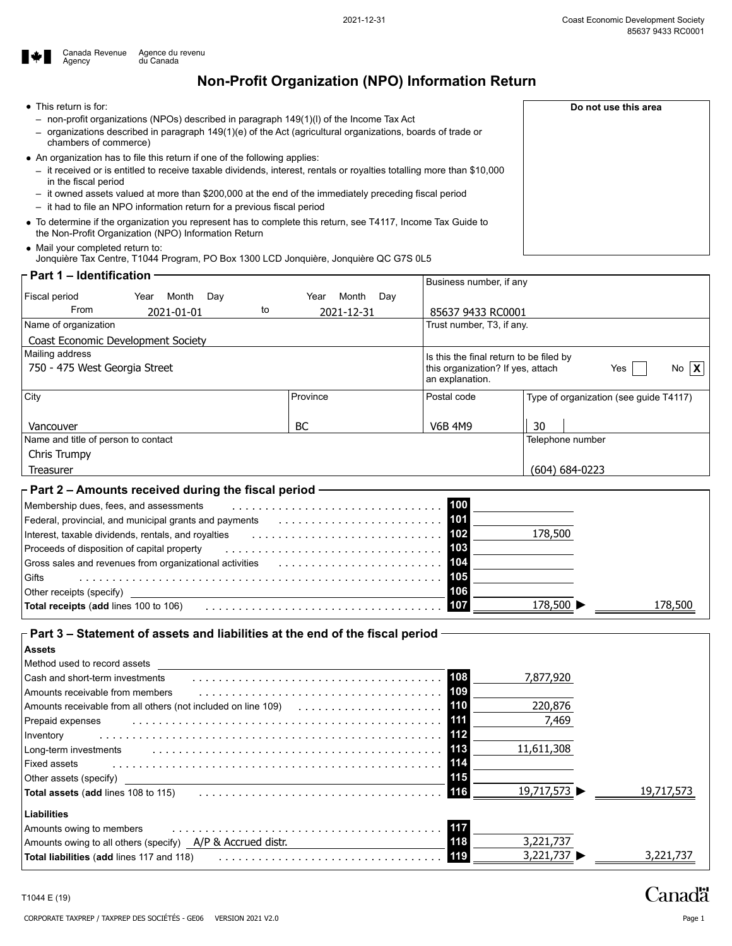**Do not use this area**



### **Non-Profit Organization (NPO) Information Return**

This return is for:

- $-$  non-profit organizations (NPOs) described in paragraph 149(1)(l) of the Income Tax Act
- $-$  organizations described in paragraph 149(1)(e) of the Act (agricultural organizations, boards of trade or chambers of commerce)
- An organization has to file this return if one of the following applies:
	- $-$  it received or is entitled to receive taxable dividends, interest, rentals or royalties totalling more than \$10,000 in the fiscal period
	- $-$  it owned assets valued at more than \$200,000 at the end of the immediately preceding fiscal period  $\,$
	- it had to file an NPO information return for a previous fiscal period
- To determine if the organization you represent has to complete this return, see T4117, Income Tax Guide to the Non-Profit Organization (NPO) Information Return
- Mail your completed return to: Jonquière Tax Centre, T1044 Program, PO Box 1300 LCD Jonquière, Jonquière QC G7S 0L5

| Year<br>Month<br>Day                |    | Month<br>Year | Day      |                |                 |                                                                                                                |                                                                                                                                                          |
|-------------------------------------|----|---------------|----------|----------------|-----------------|----------------------------------------------------------------------------------------------------------------|----------------------------------------------------------------------------------------------------------------------------------------------------------|
| 2021-01-01                          | to | 2021-12-31    |          |                |                 |                                                                                                                |                                                                                                                                                          |
|                                     |    |               |          |                |                 |                                                                                                                |                                                                                                                                                          |
| Coast Economic Development Society  |    |               |          |                |                 |                                                                                                                |                                                                                                                                                          |
|                                     |    |               |          |                |                 |                                                                                                                |                                                                                                                                                          |
| 750 - 475 West Georgia Street       |    |               |          |                |                 | Yes                                                                                                            | No $\mathbf{X}$                                                                                                                                          |
|                                     |    |               |          |                |                 |                                                                                                                |                                                                                                                                                          |
|                                     |    |               |          | Postal code    |                 |                                                                                                                |                                                                                                                                                          |
|                                     |    |               |          |                |                 |                                                                                                                |                                                                                                                                                          |
|                                     |    | BC            |          | <b>V6B 4M9</b> | 30              |                                                                                                                |                                                                                                                                                          |
| Name and title of person to contact |    |               |          |                |                 |                                                                                                                |                                                                                                                                                          |
|                                     |    |               |          |                |                 |                                                                                                                |                                                                                                                                                          |
|                                     |    |               |          |                |                 |                                                                                                                |                                                                                                                                                          |
|                                     |    |               | Province |                | an explanation. | Business number, if any<br>85637 9433 RC0001<br>Trust number, T3, if any.<br>this organization? If yes, attach | ⊢ Part 1 – Identification<br>Is this the final return to be filed by<br>Type of organization (see guide T4117)<br>Telephone number<br>$(604) 684 - 0223$ |

# **Part 2 – Amounts received during the fiscal period**

| Membership dues, fees, and assessments $\ldots \ldots \ldots \ldots \ldots \ldots \ldots \ldots \ldots \ldots \ldots \ldots \ldots$ |                             |
|-------------------------------------------------------------------------------------------------------------------------------------|-----------------------------|
| Federal, provincial, and municipal grants and payments $\ldots \ldots \ldots \ldots \ldots \ldots \ldots \ldots$                    |                             |
| Interest, taxable dividends, rentals, and royalties $\ldots \ldots \ldots \ldots \ldots \ldots \ldots \ldots \ldots$                | 178,500                     |
| Proceeds of disposition of capital property entering in the set of the set of the set of disposition of capital property            |                             |
| Gross sales and revenues from organizational activities excess to contain the sales and revenues from                               |                             |
| Gifts                                                                                                                               | 105                         |
| Other receipts (specify)                                                                                                            | 106                         |
| Total receipts (add lines 100 to 106)                                                                                               | 178,500<br>178,500 ▶<br>107 |

#### **Part 3 – Statement of assets and liabilities at the end of the fiscal period**

| <b>Assets</b>                                                                                                    |                            |        |
|------------------------------------------------------------------------------------------------------------------|----------------------------|--------|
| Method used to record assets                                                                                     |                            |        |
| Cash and short-term investments                                                                                  | 108<br>7,877,920           |        |
| Amounts receivable from members                                                                                  | 109                        |        |
| Amounts receivable from all others (not included on line 109) $\ldots \ldots \ldots \ldots \ldots \ldots \ldots$ | 220,876                    |        |
| Prepaid expenses                                                                                                 | 7,469                      |        |
| Inventory                                                                                                        | <b>112</b>                 |        |
| Long-term investments                                                                                            | 11,611,308                 |        |
| Fixed assets                                                                                                     | 114                        |        |
| Other assets (specify)                                                                                           | 115                        |        |
|                                                                                                                  | <b>116</b><br>19,717,573 ▶ | 19.717 |
| Liabilities                                                                                                      |                            |        |
| Amounts owing to members                                                                                         | 117                        |        |
| Amounts owing to all others (specify) A/P & Accrued distr.                                                       | 3,221,737<br>118           |        |
| <b>Total liabilities (add lines 117 and 118)</b>                                                                 | 119<br>3,221,737           | 3.221. |